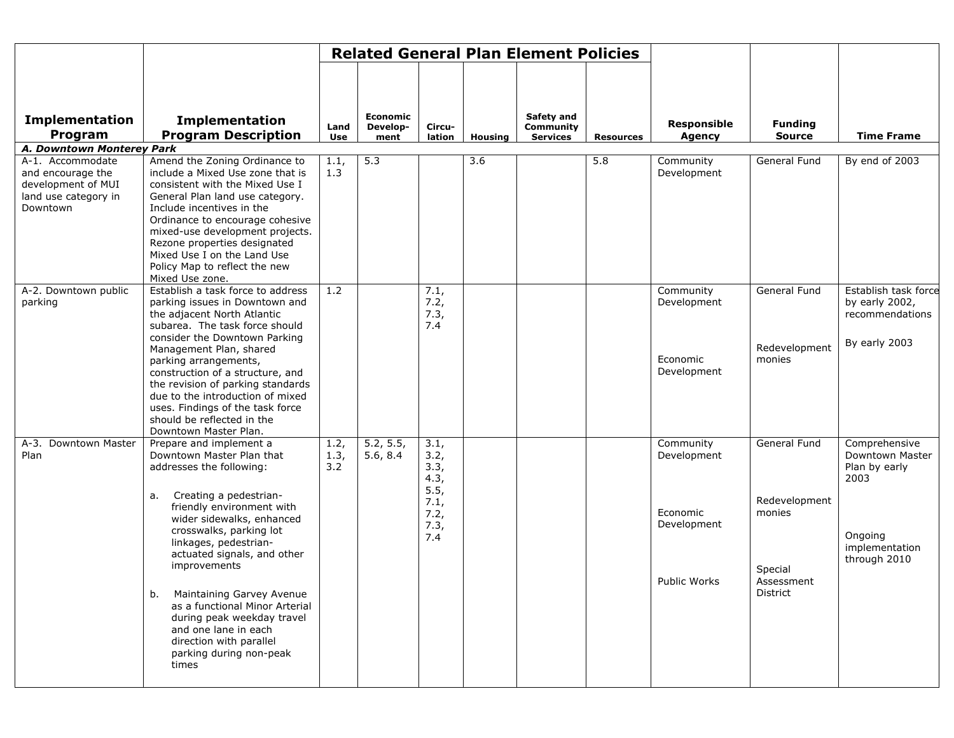|                                                                             |                                                                                                                                                                                                                                                                                                                                                                                                                                                                         |                     |                              |                                                                     |                | <b>Related General Plan Element Policies</b> |                  |                                                                     |                                                                              |                                                                                                        |
|-----------------------------------------------------------------------------|-------------------------------------------------------------------------------------------------------------------------------------------------------------------------------------------------------------------------------------------------------------------------------------------------------------------------------------------------------------------------------------------------------------------------------------------------------------------------|---------------------|------------------------------|---------------------------------------------------------------------|----------------|----------------------------------------------|------------------|---------------------------------------------------------------------|------------------------------------------------------------------------------|--------------------------------------------------------------------------------------------------------|
| <b>Implementation</b><br>Program                                            | <b>Implementation</b><br><b>Program Description</b>                                                                                                                                                                                                                                                                                                                                                                                                                     | Land<br>Use         | Economic<br>Develop-<br>ment | Circu-<br>lation                                                    | <b>Housing</b> | Safety and<br>Community<br><b>Services</b>   | <b>Resources</b> | <b>Responsible</b><br><b>Agency</b>                                 | <b>Funding</b><br><b>Source</b>                                              | <b>Time Frame</b>                                                                                      |
| A. Downtown Monterey Park<br>A-1. Accommodate                               | Amend the Zoning Ordinance to                                                                                                                                                                                                                                                                                                                                                                                                                                           | 1.1,                | 5.3                          |                                                                     | 3.6            |                                              | 5.8              | Community                                                           | General Fund                                                                 | By end of 2003                                                                                         |
| and encourage the<br>development of MUI<br>land use category in<br>Downtown | include a Mixed Use zone that is<br>consistent with the Mixed Use I<br>General Plan land use category.<br>Include incentives in the<br>Ordinance to encourage cohesive<br>mixed-use development projects.<br>Rezone properties designated<br>Mixed Use I on the Land Use<br>Policy Map to reflect the new<br>Mixed Use zone.                                                                                                                                            | 1.3                 |                              |                                                                     |                |                                              |                  | Development                                                         |                                                                              |                                                                                                        |
| A-2. Downtown public<br>parking                                             | Establish a task force to address<br>parking issues in Downtown and<br>the adjacent North Atlantic<br>subarea. The task force should<br>consider the Downtown Parking<br>Management Plan, shared<br>parking arrangements,<br>construction of a structure, and<br>the revision of parking standards<br>due to the introduction of mixed<br>uses. Findings of the task force<br>should be reflected in the<br>Downtown Master Plan.                                       | 1.2                 |                              | 7.1,<br>7.2,<br>7.3,<br>7.4                                         |                |                                              |                  | Community<br>Development<br>Economic<br>Development                 | General Fund<br>Redevelopment<br>monies                                      | Establish task force<br>by early 2002,<br>recommendations<br>By early 2003                             |
| A-3. Downtown Master<br>Plan                                                | Prepare and implement a<br>Downtown Master Plan that<br>addresses the following:<br>Creating a pedestrian-<br>a.<br>friendly environment with<br>wider sidewalks, enhanced<br>crosswalks, parking lot<br>linkages, pedestrian-<br>actuated signals, and other<br>improvements<br>Maintaining Garvey Avenue<br>b.<br>as a functional Minor Arterial<br>during peak weekday travel<br>and one lane in each<br>direction with parallel<br>parking during non-peak<br>times | 1.2,<br>1.3,<br>3.2 | 5.2, 5.5,<br>5.6, 8.4        | 3.1,<br>3.2,<br>3.3,<br>4.3,<br>5.5,<br>7.1,<br>7.2,<br>7.3,<br>7.4 |                |                                              |                  | Community<br>Development<br>Economic<br>Development<br>Public Works | General Fund<br>Redevelopment<br>monies<br>Special<br>Assessment<br>District | Comprehensive<br>Downtown Master<br>Plan by early<br>2003<br>Ongoing<br>implementation<br>through 2010 |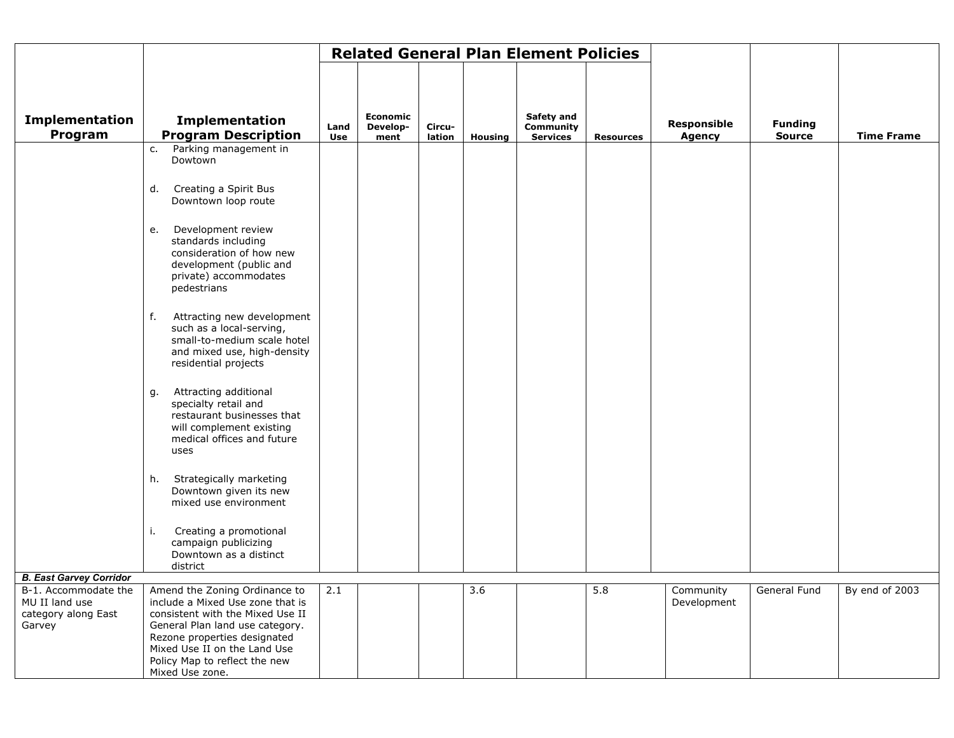|                                                        |                                                                                                                                                     |      |          |        |                | <b>Related General Plan Element Policies</b> |                  |                    |                |                   |
|--------------------------------------------------------|-----------------------------------------------------------------------------------------------------------------------------------------------------|------|----------|--------|----------------|----------------------------------------------|------------------|--------------------|----------------|-------------------|
| Implementation                                         | Implementation                                                                                                                                      |      | Economic |        |                | Safety and                                   |                  |                    |                |                   |
|                                                        |                                                                                                                                                     | Land | Develop- | Circu- |                | Community                                    |                  | <b>Responsible</b> | <b>Funding</b> |                   |
| Program                                                | <b>Program Description</b><br>Parking management in<br>c.<br>Dowtown                                                                                | Use  | ment     | lation | <b>Housing</b> | <b>Services</b>                              | <b>Resources</b> | Agency             | <b>Source</b>  | <b>Time Frame</b> |
|                                                        | d.<br>Creating a Spirit Bus<br>Downtown loop route                                                                                                  |      |          |        |                |                                              |                  |                    |                |                   |
|                                                        | Development review<br>e.<br>standards including<br>consideration of how new<br>development (public and<br>private) accommodates<br>pedestrians      |      |          |        |                |                                              |                  |                    |                |                   |
|                                                        | Attracting new development<br>f.<br>such as a local-serving,<br>small-to-medium scale hotel<br>and mixed use, high-density<br>residential projects  |      |          |        |                |                                              |                  |                    |                |                   |
|                                                        | Attracting additional<br>g.<br>specialty retail and<br>restaurant businesses that<br>will complement existing<br>medical offices and future<br>uses |      |          |        |                |                                              |                  |                    |                |                   |
|                                                        | Strategically marketing<br>h.<br>Downtown given its new<br>mixed use environment                                                                    |      |          |        |                |                                              |                  |                    |                |                   |
|                                                        | Creating a promotional<br>i.<br>campaign publicizing<br>Downtown as a distinct<br>district                                                          |      |          |        |                |                                              |                  |                    |                |                   |
| <b>B. East Garvey Corridor</b><br>B-1. Accommodate the | Amend the Zoning Ordinance to                                                                                                                       | 2.1  |          |        | 3.6            |                                              | 5.8              | Community          | General Fund   | By end of 2003    |
| MU II land use                                         | include a Mixed Use zone that is                                                                                                                    |      |          |        |                |                                              |                  | Development        |                |                   |
| category along East                                    | consistent with the Mixed Use II                                                                                                                    |      |          |        |                |                                              |                  |                    |                |                   |
| Garvey                                                 | General Plan land use category.<br>Rezone properties designated                                                                                     |      |          |        |                |                                              |                  |                    |                |                   |
|                                                        | Mixed Use II on the Land Use                                                                                                                        |      |          |        |                |                                              |                  |                    |                |                   |
|                                                        | Policy Map to reflect the new                                                                                                                       |      |          |        |                |                                              |                  |                    |                |                   |
|                                                        | Mixed Use zone.                                                                                                                                     |      |          |        |                |                                              |                  |                    |                |                   |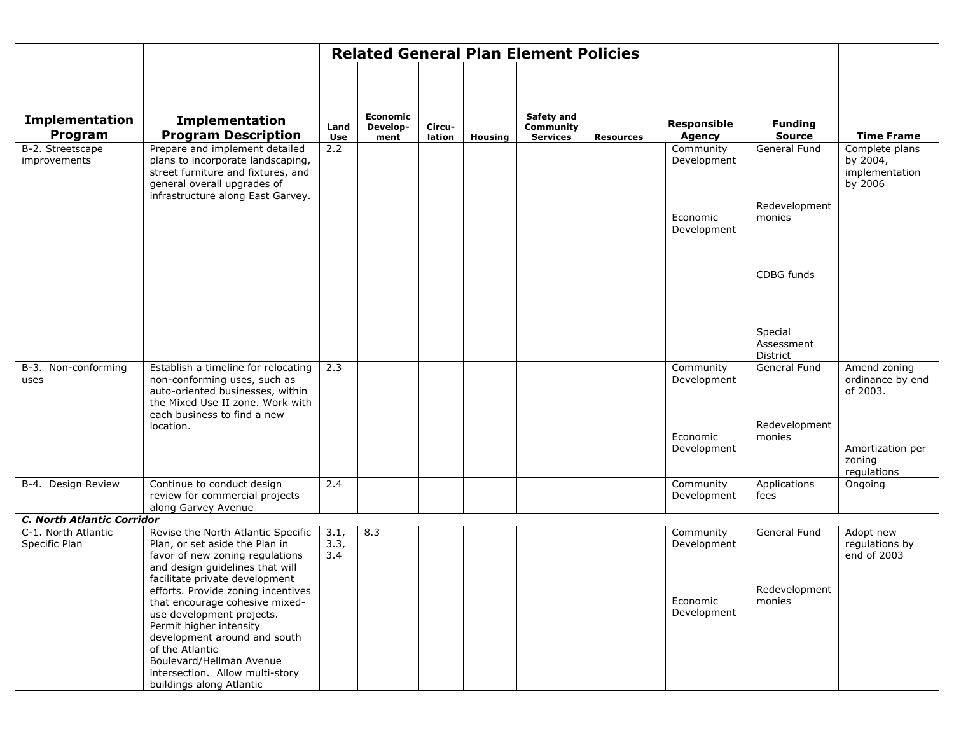|                                      |                                                                                                                                                                                                                                                                                                                                                                                                                                |                     |                              |                  |         | <b>Related General Plan Element Policies</b> |                  |                                                     |                                         |                                                         |
|--------------------------------------|--------------------------------------------------------------------------------------------------------------------------------------------------------------------------------------------------------------------------------------------------------------------------------------------------------------------------------------------------------------------------------------------------------------------------------|---------------------|------------------------------|------------------|---------|----------------------------------------------|------------------|-----------------------------------------------------|-----------------------------------------|---------------------------------------------------------|
| <b>Implementation</b><br>Program     | <b>Implementation</b><br><b>Program Description</b>                                                                                                                                                                                                                                                                                                                                                                            | Land<br>Use         | Economic<br>Develop-<br>ment | Circu-<br>lation | Housing | Safety and<br>Community<br><b>Services</b>   | <b>Resources</b> | <b>Responsible</b><br>Agency                        | <b>Funding</b><br><b>Source</b>         | <b>Time Frame</b>                                       |
| B-2. Streetscape<br>improvements     | Prepare and implement detailed<br>plans to incorporate landscaping,<br>street furniture and fixtures, and<br>general overall upgrades of<br>infrastructure along East Garvey.                                                                                                                                                                                                                                                  | 2.2                 |                              |                  |         |                                              |                  | Community<br>Development                            | General Fund                            | Complete plans<br>by 2004,<br>implementation<br>by 2006 |
|                                      |                                                                                                                                                                                                                                                                                                                                                                                                                                |                     |                              |                  |         |                                              |                  | Economic<br>Development                             | Redevelopment<br>monies                 |                                                         |
|                                      |                                                                                                                                                                                                                                                                                                                                                                                                                                |                     |                              |                  |         |                                              |                  |                                                     | CDBG funds                              |                                                         |
|                                      |                                                                                                                                                                                                                                                                                                                                                                                                                                |                     |                              |                  |         |                                              |                  |                                                     | Special<br>Assessment<br>District       |                                                         |
| B-3. Non-conforming<br>uses          | Establish a timeline for relocating<br>non-conforming uses, such as<br>auto-oriented businesses, within<br>the Mixed Use II zone. Work with<br>each business to find a new                                                                                                                                                                                                                                                     | 2.3                 |                              |                  |         |                                              |                  | Community<br>Development                            | General Fund                            | Amend zoning<br>ordinance by end<br>of 2003.            |
|                                      | location.                                                                                                                                                                                                                                                                                                                                                                                                                      |                     |                              |                  |         |                                              |                  | Economic<br>Development                             | Redevelopment<br>monies                 | Amortization per<br>zoning<br>regulations               |
| B-4. Design Review                   | Continue to conduct design<br>review for commercial projects<br>along Garvey Avenue                                                                                                                                                                                                                                                                                                                                            | 2.4                 |                              |                  |         |                                              |                  | Community<br>Development                            | Applications<br>fees                    | Ongoing                                                 |
| C. North Atlantic Corridor           |                                                                                                                                                                                                                                                                                                                                                                                                                                |                     |                              |                  |         |                                              |                  |                                                     |                                         |                                                         |
| C-1. North Atlantic<br>Specific Plan | Revise the North Atlantic Specific<br>Plan, or set aside the Plan in<br>favor of new zoning regulations<br>and design guidelines that will<br>facilitate private development<br>efforts. Provide zoning incentives<br>that encourage cohesive mixed-<br>use development projects.<br>Permit higher intensity<br>development around and south<br>of the Atlantic<br>Boulevard/Hellman Avenue<br>intersection. Allow multi-story | 3.1,<br>3.3,<br>3.4 | 8.3                          |                  |         |                                              |                  | Community<br>Development<br>Economic<br>Development | General Fund<br>Redevelopment<br>monies | Adopt new<br>regulations by<br>end of 2003              |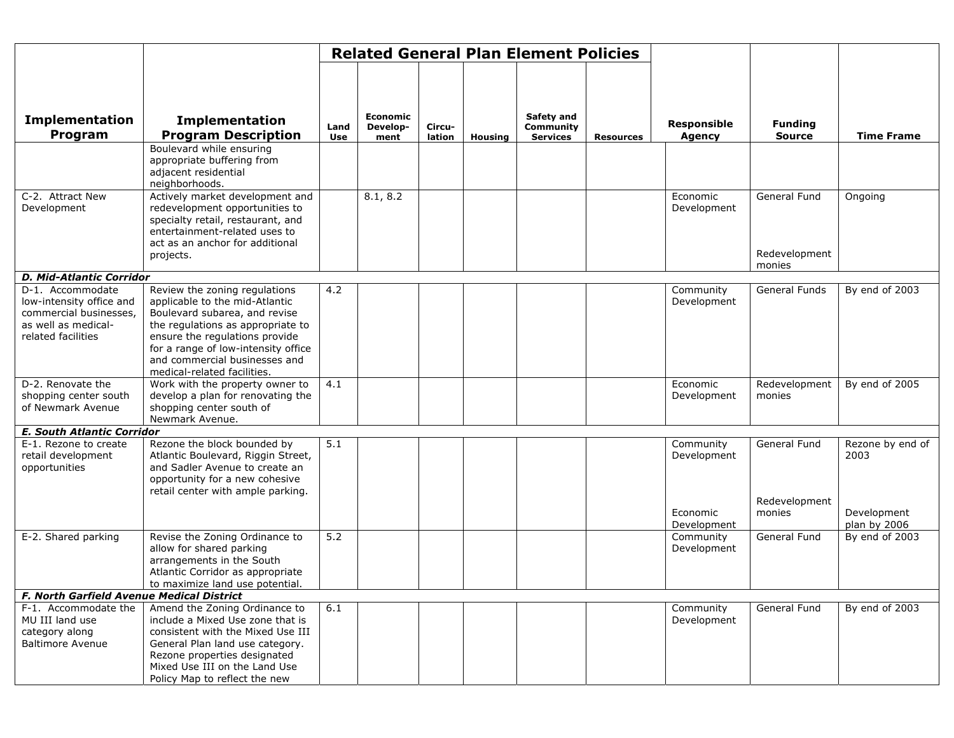|                                                                                                                     |                                                                                                                                                                                                                                                                                |             |                                     |                  |                | <b>Related General Plan Element Policies</b> |                  |                                                     |                                         |                                                         |
|---------------------------------------------------------------------------------------------------------------------|--------------------------------------------------------------------------------------------------------------------------------------------------------------------------------------------------------------------------------------------------------------------------------|-------------|-------------------------------------|------------------|----------------|----------------------------------------------|------------------|-----------------------------------------------------|-----------------------------------------|---------------------------------------------------------|
| <b>Implementation</b><br>Program                                                                                    | <b>Implementation</b><br><b>Program Description</b>                                                                                                                                                                                                                            | Land<br>Use | <b>Economic</b><br>Develop-<br>ment | Circu-<br>lation | <b>Housing</b> | Safety and<br>Community<br><b>Services</b>   | <b>Resources</b> | <b>Responsible</b><br><b>Agency</b>                 | <b>Funding</b><br><b>Source</b>         | <b>Time Frame</b>                                       |
|                                                                                                                     | Boulevard while ensuring<br>appropriate buffering from<br>adjacent residential<br>neighborhoods.                                                                                                                                                                               |             |                                     |                  |                |                                              |                  |                                                     |                                         |                                                         |
| C-2. Attract New<br>Development                                                                                     | Actively market development and<br>redevelopment opportunities to<br>specialty retail, restaurant, and<br>entertainment-related uses to<br>act as an anchor for additional<br>projects.                                                                                        |             | 8.1, 8.2                            |                  |                |                                              |                  | Economic<br>Development                             | General Fund<br>Redevelopment<br>monies | Ongoing                                                 |
| <b>D. Mid-Atlantic Corridor</b>                                                                                     |                                                                                                                                                                                                                                                                                |             |                                     |                  |                |                                              |                  |                                                     |                                         |                                                         |
| D-1. Accommodate<br>low-intensity office and<br>commercial businesses.<br>as well as medical-<br>related facilities | Review the zoning regulations<br>applicable to the mid-Atlantic<br>Boulevard subarea, and revise<br>the regulations as appropriate to<br>ensure the regulations provide<br>for a range of low-intensity office<br>and commercial businesses and<br>medical-related facilities. | 4.2         |                                     |                  |                |                                              |                  | Community<br>Development                            | General Funds                           | By end of 2003                                          |
| D-2. Renovate the<br>shopping center south<br>of Newmark Avenue                                                     | Work with the property owner to<br>develop a plan for renovating the<br>shopping center south of<br>Newmark Avenue.                                                                                                                                                            | 4.1         |                                     |                  |                |                                              |                  | Economic<br>Development                             | Redevelopment<br>monies                 | By end of 2005                                          |
| <b>E. South Atlantic Corridor</b>                                                                                   |                                                                                                                                                                                                                                                                                |             |                                     |                  |                |                                              |                  |                                                     |                                         |                                                         |
| E-1. Rezone to create<br>retail development<br>opportunities                                                        | Rezone the block bounded by<br>Atlantic Boulevard, Riggin Street,<br>and Sadler Avenue to create an<br>opportunity for a new cohesive<br>retail center with ample parking.                                                                                                     | 5.1         |                                     |                  |                |                                              |                  | Community<br>Development<br>Economic<br>Development | General Fund<br>Redevelopment<br>monies | Rezone by end of<br>2003<br>Development<br>plan by 2006 |
| E-2. Shared parking                                                                                                 | Revise the Zoning Ordinance to<br>allow for shared parking<br>arrangements in the South<br>Atlantic Corridor as appropriate<br>to maximize land use potential.                                                                                                                 | 5.2         |                                     |                  |                |                                              |                  | Community<br>Development                            | General Fund                            | By end of 2003                                          |
| F. North Garfield Avenue Medical District                                                                           |                                                                                                                                                                                                                                                                                |             |                                     |                  |                |                                              |                  |                                                     |                                         |                                                         |
| F-1. Accommodate the<br>MU III land use<br>category along<br><b>Baltimore Avenue</b>                                | Amend the Zoning Ordinance to<br>include a Mixed Use zone that is<br>consistent with the Mixed Use III<br>General Plan land use category.<br>Rezone properties designated<br>Mixed Use III on the Land Use<br>Policy Map to reflect the new                                    | 6.1         |                                     |                  |                |                                              |                  | Community<br>Development                            | General Fund                            | By end of 2003                                          |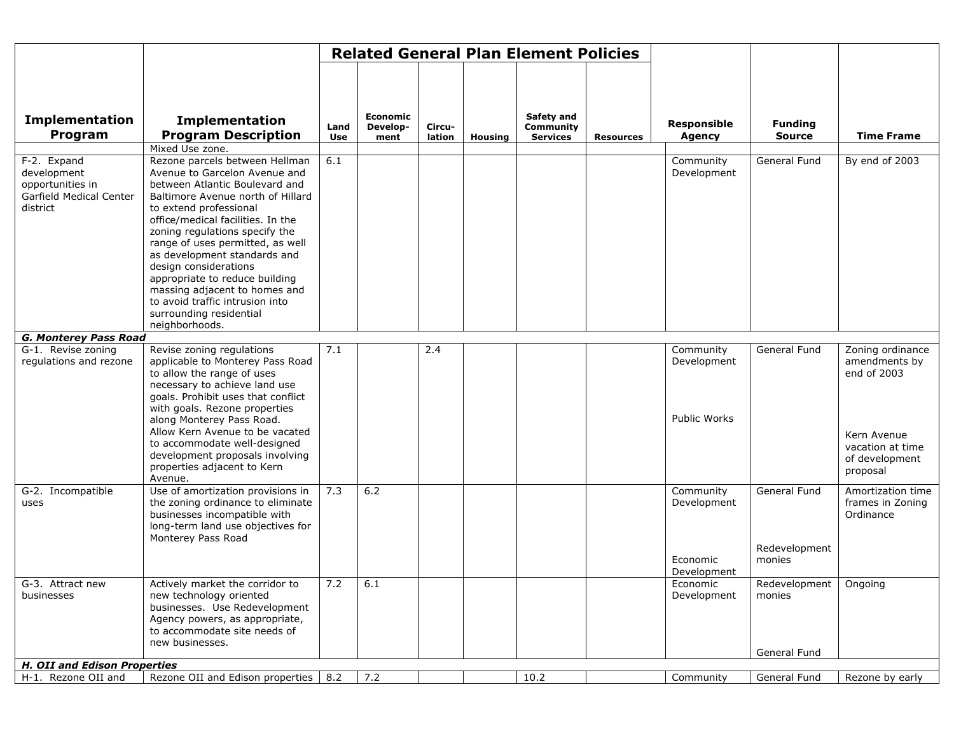|                                                                                       |                                                                                                                                                                                                                                                                                                                                                                                                                                                                                         |             |                                     |                  |                | <b>Related General Plan Element Policies</b> |                  |                                                     |                                                 |                                                                                                                   |
|---------------------------------------------------------------------------------------|-----------------------------------------------------------------------------------------------------------------------------------------------------------------------------------------------------------------------------------------------------------------------------------------------------------------------------------------------------------------------------------------------------------------------------------------------------------------------------------------|-------------|-------------------------------------|------------------|----------------|----------------------------------------------|------------------|-----------------------------------------------------|-------------------------------------------------|-------------------------------------------------------------------------------------------------------------------|
| <b>Implementation</b><br>Program                                                      | <b>Implementation</b><br><b>Program Description</b><br>Mixed Use zone.                                                                                                                                                                                                                                                                                                                                                                                                                  | Land<br>Use | <b>Economic</b><br>Develop-<br>ment | Circu-<br>lation | <b>Housing</b> | Safety and<br>Community<br><b>Services</b>   | <b>Resources</b> | <b>Responsible</b><br><b>Agency</b>                 | <b>Funding</b><br><b>Source</b>                 | <b>Time Frame</b>                                                                                                 |
| F-2. Expand<br>development<br>opportunities in<br>Garfield Medical Center<br>district | Rezone parcels between Hellman<br>Avenue to Garcelon Avenue and<br>between Atlantic Boulevard and<br>Baltimore Avenue north of Hillard<br>to extend professional<br>office/medical facilities. In the<br>zoning regulations specify the<br>range of uses permitted, as well<br>as development standards and<br>design considerations<br>appropriate to reduce building<br>massing adjacent to homes and<br>to avoid traffic intrusion into<br>surrounding residential<br>neighborhoods. | 6.1         |                                     |                  |                |                                              |                  | Community<br>Development                            | General Fund                                    | By end of 2003                                                                                                    |
| G. Monterey Pass Road                                                                 |                                                                                                                                                                                                                                                                                                                                                                                                                                                                                         |             |                                     |                  |                |                                              |                  |                                                     |                                                 |                                                                                                                   |
| G-1. Revise zoning<br>regulations and rezone                                          | Revise zoning regulations<br>applicable to Monterey Pass Road<br>to allow the range of uses<br>necessary to achieve land use<br>goals. Prohibit uses that conflict<br>with goals. Rezone properties<br>along Monterey Pass Road.<br>Allow Kern Avenue to be vacated<br>to accommodate well-designed<br>development proposals involving<br>properties adjacent to Kern<br>Avenue.                                                                                                        | 7.1         |                                     | 2.4              |                |                                              |                  | Community<br>Development<br>Public Works            | General Fund                                    | Zoning ordinance<br>amendments by<br>end of 2003<br>Kern Avenue<br>vacation at time<br>of development<br>proposal |
| G-2. Incompatible<br>uses                                                             | Use of amortization provisions in<br>the zoning ordinance to eliminate<br>businesses incompatible with<br>long-term land use objectives for<br>Monterey Pass Road                                                                                                                                                                                                                                                                                                                       | 7.3         | $6.2$                               |                  |                |                                              |                  | Community<br>Development<br>Economic<br>Development | General Fund<br>Redevelopment<br>monies         | Amortization time<br>frames in Zoning<br>Ordinance                                                                |
| G-3. Attract new<br>businesses<br><b>H. OII and Edison Properties</b>                 | Actively market the corridor to<br>new technology oriented<br>businesses. Use Redevelopment<br>Agency powers, as appropriate,<br>to accommodate site needs of<br>new businesses.                                                                                                                                                                                                                                                                                                        | 7.2         | 6.1                                 |                  |                |                                              |                  | ECONOMIC<br>Development                             | Redevelopment Ongoing<br>monies<br>General Fund |                                                                                                                   |
| H-1. Rezone OII and                                                                   | Rezone OII and Edison properties   8.2                                                                                                                                                                                                                                                                                                                                                                                                                                                  |             | 7.2                                 |                  |                | 10.2                                         |                  | Community                                           | General Fund                                    | Rezone by early                                                                                                   |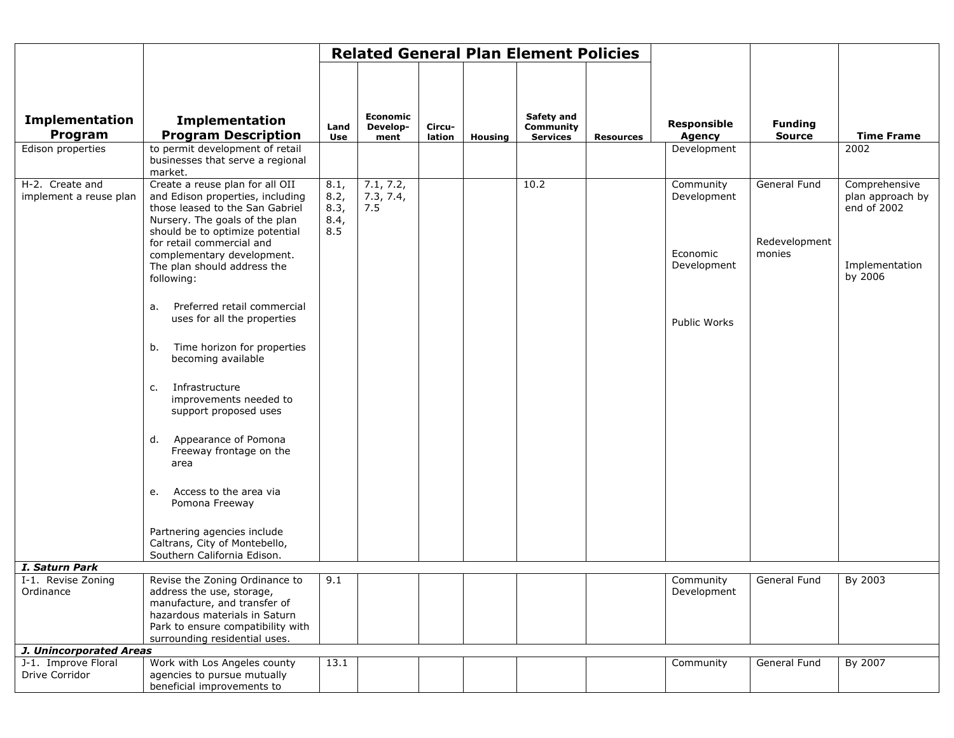|                                           |                                                                                                                                                                                                                                                                                                                                                                                                                          |                                     |                               |                  |                | <b>Related General Plan Element Policies</b> |                  |                                                     |                                         |                                                                               |
|-------------------------------------------|--------------------------------------------------------------------------------------------------------------------------------------------------------------------------------------------------------------------------------------------------------------------------------------------------------------------------------------------------------------------------------------------------------------------------|-------------------------------------|-------------------------------|------------------|----------------|----------------------------------------------|------------------|-----------------------------------------------------|-----------------------------------------|-------------------------------------------------------------------------------|
| <b>Implementation</b><br>Program          | <b>Implementation</b><br><b>Program Description</b>                                                                                                                                                                                                                                                                                                                                                                      | Land<br>Use                         | Economic<br>Develop-<br>ment  | Circu-<br>lation | <b>Housing</b> | Safety and<br>Community<br><b>Services</b>   | <b>Resources</b> | <b>Responsible</b><br>Agency                        | <b>Funding</b><br><b>Source</b>         | <b>Time Frame</b>                                                             |
| Edison properties                         | to permit development of retail<br>businesses that serve a regional<br>market.                                                                                                                                                                                                                                                                                                                                           |                                     |                               |                  |                |                                              |                  | Development                                         |                                         | 2002                                                                          |
| H-2. Create and<br>implement a reuse plan | Create a reuse plan for all OII<br>and Edison properties, including<br>those leased to the San Gabriel<br>Nursery. The goals of the plan<br>should be to optimize potential<br>for retail commercial and<br>complementary development.<br>The plan should address the<br>following:                                                                                                                                      | 8.1,<br>8.2,<br>8.3,<br>8.4,<br>8.5 | 7.1, 7.2,<br>7.3, 7.4,<br>7.5 |                  |                | 10.2                                         |                  | Community<br>Development<br>Economic<br>Development | General Fund<br>Redevelopment<br>monies | Comprehensive<br>plan approach by<br>end of 2002<br>Implementation<br>by 2006 |
|                                           | Preferred retail commercial<br>a.<br>uses for all the properties<br>Time horizon for properties<br>b.<br>becoming available<br>Infrastructure<br>c.<br>improvements needed to<br>support proposed uses<br>Appearance of Pomona<br>d.<br>Freeway frontage on the<br>area<br>Access to the area via<br>е.<br>Pomona Freeway<br>Partnering agencies include<br>Caltrans, City of Montebello,<br>Southern California Edison. |                                     |                               |                  |                |                                              |                  | Public Works                                        |                                         |                                                                               |
| I. Saturn Park                            |                                                                                                                                                                                                                                                                                                                                                                                                                          |                                     |                               |                  |                |                                              |                  |                                                     |                                         |                                                                               |
| I-1. Revise Zoning<br>Ordinance           | Revise the Zoning Ordinance to<br>address the use, storage,<br>manufacture, and transfer of<br>hazardous materials in Saturn<br>Park to ensure compatibility with<br>surrounding residential uses.                                                                                                                                                                                                                       | 9.1                                 |                               |                  |                |                                              |                  | Community<br>Development                            | General Fund                            | By 2003                                                                       |
| J. Unincorporated Areas                   |                                                                                                                                                                                                                                                                                                                                                                                                                          |                                     |                               |                  |                |                                              |                  |                                                     |                                         |                                                                               |
| J-1. Improve Floral<br>Drive Corridor     | Work with Los Angeles county<br>agencies to pursue mutually<br>beneficial improvements to                                                                                                                                                                                                                                                                                                                                | 13.1                                |                               |                  |                |                                              |                  | Community                                           | General Fund                            | By 2007                                                                       |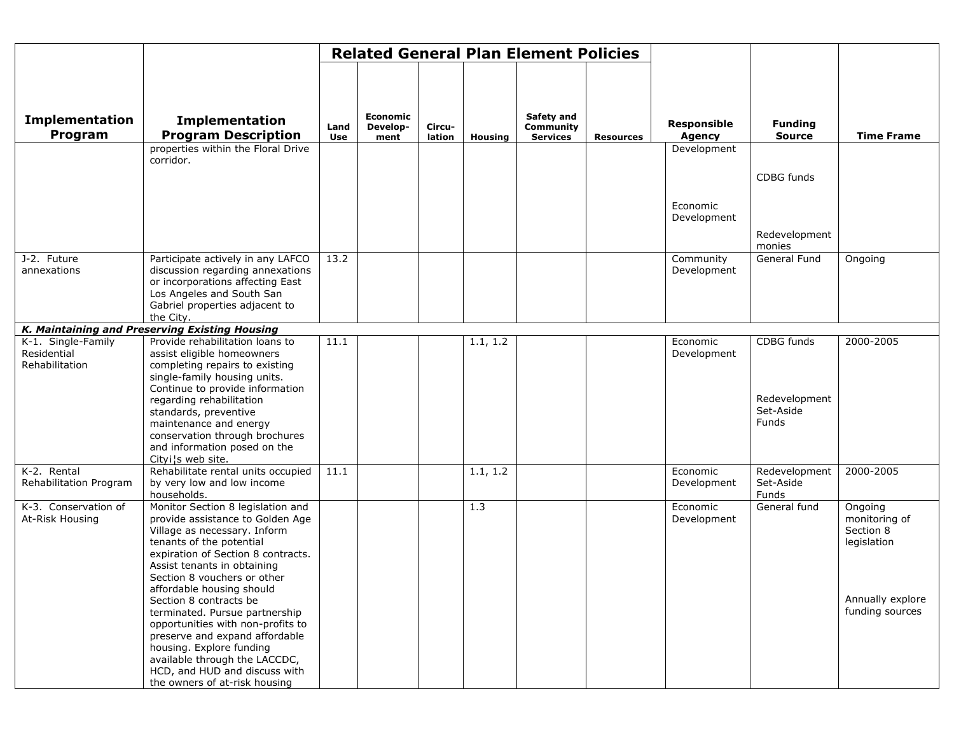|                                                     |                                                                                                                                                                                                                                                                                                                                                                                                                                                                                                                                      |             |                                     |                  |                | <b>Related General Plan Element Policies</b> |                  |                                     |                                                          |                                                                                             |
|-----------------------------------------------------|--------------------------------------------------------------------------------------------------------------------------------------------------------------------------------------------------------------------------------------------------------------------------------------------------------------------------------------------------------------------------------------------------------------------------------------------------------------------------------------------------------------------------------------|-------------|-------------------------------------|------------------|----------------|----------------------------------------------|------------------|-------------------------------------|----------------------------------------------------------|---------------------------------------------------------------------------------------------|
| <b>Implementation</b><br>Program                    | <b>Implementation</b><br><b>Program Description</b>                                                                                                                                                                                                                                                                                                                                                                                                                                                                                  | Land<br>Use | <b>Economic</b><br>Develop-<br>ment | Circu-<br>lation | <b>Housing</b> | Safety and<br>Community<br><b>Services</b>   | <b>Resources</b> | <b>Responsible</b><br><b>Agency</b> | <b>Funding</b><br><b>Source</b>                          | <b>Time Frame</b>                                                                           |
|                                                     | properties within the Floral Drive<br>corridor.                                                                                                                                                                                                                                                                                                                                                                                                                                                                                      |             |                                     |                  |                |                                              |                  | Development                         |                                                          |                                                                                             |
|                                                     |                                                                                                                                                                                                                                                                                                                                                                                                                                                                                                                                      |             |                                     |                  |                |                                              |                  |                                     | CDBG funds                                               |                                                                                             |
|                                                     |                                                                                                                                                                                                                                                                                                                                                                                                                                                                                                                                      |             |                                     |                  |                |                                              |                  | Economic<br>Development             | Redevelopment                                            |                                                                                             |
|                                                     |                                                                                                                                                                                                                                                                                                                                                                                                                                                                                                                                      |             |                                     |                  |                |                                              |                  |                                     | monies                                                   |                                                                                             |
| J-2. Future<br>annexations                          | Participate actively in any LAFCO<br>discussion regarding annexations<br>or incorporations affecting East<br>Los Angeles and South San<br>Gabriel properties adjacent to<br>the City.                                                                                                                                                                                                                                                                                                                                                | 13.2        |                                     |                  |                |                                              |                  | Community<br>Development            | General Fund                                             | Ongoing                                                                                     |
|                                                     | K. Maintaining and Preserving Existing Housing                                                                                                                                                                                                                                                                                                                                                                                                                                                                                       |             |                                     |                  |                |                                              |                  |                                     |                                                          |                                                                                             |
| K-1. Single-Family<br>Residential<br>Rehabilitation | Provide rehabilitation loans to<br>assist eligible homeowners<br>completing repairs to existing<br>single-family housing units.<br>Continue to provide information<br>regarding rehabilitation<br>standards, preventive<br>maintenance and energy<br>conservation through brochures<br>and information posed on the<br>Cityi¦s web site.                                                                                                                                                                                             | 11.1        |                                     |                  | 1.1, 1.2       |                                              |                  | Economic<br>Development             | CDBG funds<br>Redevelopment<br>Set-Aside<br><b>Funds</b> | 2000-2005                                                                                   |
| K-2. Rental<br>Rehabilitation Program               | Rehabilitate rental units occupied<br>by very low and low income<br>households.                                                                                                                                                                                                                                                                                                                                                                                                                                                      | 11.1        |                                     |                  | 1.1, 1.2       |                                              |                  | Economic<br>Development             | Redevelopment<br>Set-Aside<br>Funds                      | 2000-2005                                                                                   |
| K-3. Conservation of<br>At-Risk Housing             | Monitor Section 8 legislation and<br>provide assistance to Golden Age<br>Village as necessary. Inform<br>tenants of the potential<br>expiration of Section 8 contracts.<br>Assist tenants in obtaining<br>Section 8 vouchers or other<br>affordable housing should<br>Section 8 contracts be<br>terminated. Pursue partnership<br>opportunities with non-profits to<br>preserve and expand affordable<br>housing. Explore funding<br>available through the LACCDC,<br>HCD, and HUD and discuss with<br>the owners of at-risk housing |             |                                     |                  | 1.3            |                                              |                  | Economic<br>Development             | General fund                                             | Ongoing<br>monitoring of<br>Section 8<br>legislation<br>Annually explore<br>funding sources |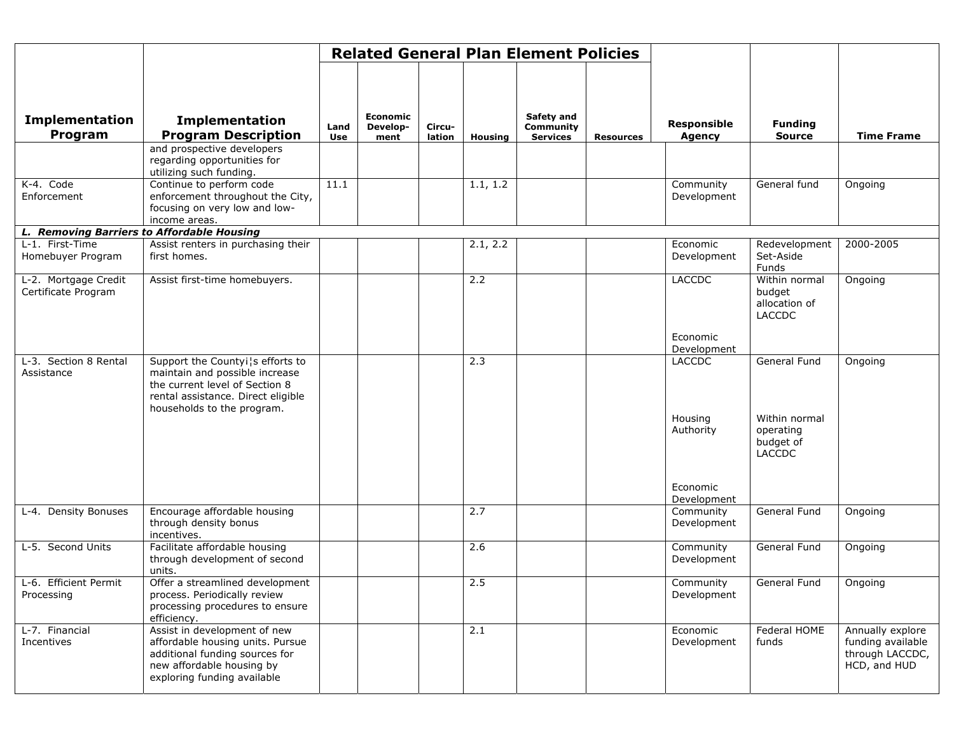|                                             |                                                                                                                                                                          |                    |                                     |                  |                | <b>Related General Plan Element Policies</b> |                  |                                       |                                                         |                                                                          |
|---------------------------------------------|--------------------------------------------------------------------------------------------------------------------------------------------------------------------------|--------------------|-------------------------------------|------------------|----------------|----------------------------------------------|------------------|---------------------------------------|---------------------------------------------------------|--------------------------------------------------------------------------|
| <b>Implementation</b><br>Program            | <b>Implementation</b><br><b>Program Description</b>                                                                                                                      | Land<br><b>Use</b> | <b>Economic</b><br>Develop-<br>ment | Circu-<br>lation | <b>Housing</b> | Safety and<br>Community<br><b>Services</b>   | <b>Resources</b> | <b>Responsible</b><br>Agency          | <b>Funding</b><br><b>Source</b>                         | <b>Time Frame</b>                                                        |
|                                             | and prospective developers<br>regarding opportunities for<br>utilizing such funding.                                                                                     |                    |                                     |                  |                |                                              |                  |                                       |                                                         |                                                                          |
| K-4. Code<br>Enforcement                    | Continue to perform code<br>enforcement throughout the City,<br>focusing on very low and low-<br>income areas.                                                           | 11.1               |                                     |                  | 1.1, 1.2       |                                              |                  | Community<br>Development              | General fund                                            | Ongoing                                                                  |
| L. Removing Barriers to Affordable Housing  |                                                                                                                                                                          |                    |                                     |                  |                |                                              |                  |                                       |                                                         |                                                                          |
| L-1. First-Time<br>Homebuyer Program        | Assist renters in purchasing their<br>first homes.                                                                                                                       |                    |                                     |                  | 2.1, 2.2       |                                              |                  | Economic<br>Development               | Redevelopment<br>Set-Aside<br>Funds                     | 2000-2005                                                                |
| L-2. Mortgage Credit<br>Certificate Program | Assist first-time homebuyers.                                                                                                                                            |                    |                                     |                  | 2.2            |                                              |                  | <b>LACCDC</b>                         | Within normal<br>budget<br>allocation of<br>LACCDC      | Ongoing                                                                  |
|                                             |                                                                                                                                                                          |                    |                                     |                  |                |                                              |                  | Economic<br>Development               |                                                         |                                                                          |
| L-3. Section 8 Rental<br>Assistance         | Support the Countyi¦s efforts to<br>maintain and possible increase<br>the current level of Section 8<br>rental assistance. Direct eligible<br>households to the program. |                    |                                     |                  | 2.3            |                                              |                  | <b>LACCDC</b><br>Housing<br>Authority | General Fund<br>Within normal<br>operating<br>budget of | Ongoing                                                                  |
|                                             |                                                                                                                                                                          |                    |                                     |                  |                |                                              |                  | Economic<br>Development               | <b>LACCDC</b>                                           |                                                                          |
| L-4. Density Bonuses                        | Encourage affordable housing<br>through density bonus<br>incentives.                                                                                                     |                    |                                     |                  | 2.7            |                                              |                  | Community<br>Development              | General Fund                                            | Ongoing                                                                  |
| L-5. Second Units                           | Facilitate affordable housing<br>through development of second<br>units.                                                                                                 |                    |                                     |                  | 2.6            |                                              |                  | Community<br>Development              | General Fund                                            | Ongoing                                                                  |
| L-6. Efficient Permit<br>Processing         | Offer a streamlined development<br>process. Periodically review<br>processing procedures to ensure<br>efficiency.                                                        |                    |                                     |                  | 2.5            |                                              |                  | Community<br>Development              | General Fund                                            | Ongoing                                                                  |
| L-7. Financial<br>Incentives                | Assist in development of new<br>affordable housing units. Pursue<br>additional funding sources for<br>new affordable housing by<br>exploring funding available           |                    |                                     |                  | 2.1            |                                              |                  | Economic<br>Development               | Federal HOME<br>funds                                   | Annually explore<br>funding available<br>through LACCDC,<br>HCD, and HUD |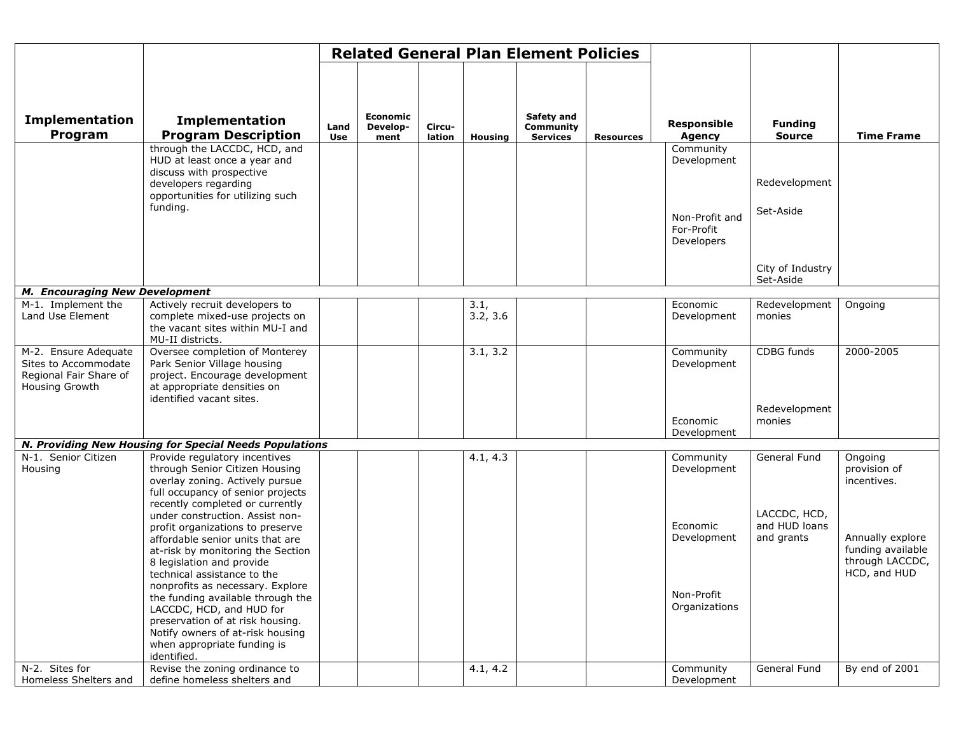|                                                                                          |                                                                                                                                                                                                                                                                                                                                                                                                                                                                                                                                                                                                                   |             |                              |                  |                  | <b>Related General Plan Element Policies</b> |                  |                                                                                    |                                                             |                                                                                                                    |
|------------------------------------------------------------------------------------------|-------------------------------------------------------------------------------------------------------------------------------------------------------------------------------------------------------------------------------------------------------------------------------------------------------------------------------------------------------------------------------------------------------------------------------------------------------------------------------------------------------------------------------------------------------------------------------------------------------------------|-------------|------------------------------|------------------|------------------|----------------------------------------------|------------------|------------------------------------------------------------------------------------|-------------------------------------------------------------|--------------------------------------------------------------------------------------------------------------------|
| <b>Implementation</b><br>Program                                                         | <b>Implementation</b><br><b>Program Description</b>                                                                                                                                                                                                                                                                                                                                                                                                                                                                                                                                                               | Land<br>Use | Economic<br>Develop-<br>ment | Circu-<br>lation | <b>Housing</b>   | Safety and<br>Community<br><b>Services</b>   | <b>Resources</b> | <b>Responsible</b><br><b>Agency</b>                                                | <b>Funding</b><br><b>Source</b>                             | <b>Time Frame</b>                                                                                                  |
|                                                                                          | through the LACCDC, HCD, and<br>HUD at least once a year and<br>discuss with prospective<br>developers regarding<br>opportunities for utilizing such<br>funding.                                                                                                                                                                                                                                                                                                                                                                                                                                                  |             |                              |                  |                  |                                              |                  | Community<br>Development<br>Non-Profit and<br>For-Profit<br>Developers             | Redevelopment<br>Set-Aside<br>City of Industry<br>Set-Aside |                                                                                                                    |
| M. Encouraging New Development                                                           |                                                                                                                                                                                                                                                                                                                                                                                                                                                                                                                                                                                                                   |             |                              |                  |                  |                                              |                  |                                                                                    |                                                             |                                                                                                                    |
| M-1. Implement the<br>Land Use Element                                                   | Actively recruit developers to<br>complete mixed-use projects on<br>the vacant sites within MU-I and<br>MU-II districts.                                                                                                                                                                                                                                                                                                                                                                                                                                                                                          |             |                              |                  | 3.1,<br>3.2, 3.6 |                                              |                  | Economic<br>Development                                                            | Redevelopment<br>monies                                     | Ongoing                                                                                                            |
| M-2. Ensure Adequate<br>Sites to Accommodate<br>Regional Fair Share of<br>Housing Growth | Oversee completion of Monterey<br>Park Senior Village housing<br>project. Encourage development<br>at appropriate densities on<br>identified vacant sites.                                                                                                                                                                                                                                                                                                                                                                                                                                                        |             |                              |                  | 3.1, 3.2         |                                              |                  | Community<br>Development                                                           | CDBG funds<br>Redevelopment                                 | 2000-2005                                                                                                          |
|                                                                                          |                                                                                                                                                                                                                                                                                                                                                                                                                                                                                                                                                                                                                   |             |                              |                  |                  |                                              |                  | Economic<br>Development                                                            | monies                                                      |                                                                                                                    |
|                                                                                          | N. Providing New Housing for Special Needs Populations                                                                                                                                                                                                                                                                                                                                                                                                                                                                                                                                                            |             |                              |                  |                  |                                              |                  |                                                                                    |                                                             |                                                                                                                    |
| N-1. Senior Citizen<br>Housing                                                           | Provide regulatory incentives<br>through Senior Citizen Housing<br>overlay zoning. Actively pursue<br>full occupancy of senior projects<br>recently completed or currently<br>under construction. Assist non-<br>profit organizations to preserve<br>affordable senior units that are<br>at-risk by monitoring the Section<br>8 legislation and provide<br>technical assistance to the<br>nonprofits as necessary. Explore<br>the funding available through the<br>LACCDC, HCD, and HUD for<br>preservation of at risk housing.<br>Notify owners of at-risk housing<br>when appropriate funding is<br>identified. |             |                              |                  | 4.1, 4.3         |                                              |                  | Community<br>Development<br>Economic<br>Development<br>Non-Profit<br>Organizations | General Fund<br>LACCDC, HCD,<br>and HUD loans<br>and grants | Ongoing<br>provision of<br>incentives.<br>Annually explore<br>funding available<br>through LACCDC,<br>HCD, and HUD |
| N-2. Sites for<br>Homeless Shelters and                                                  | Revise the zoning ordinance to<br>define homeless shelters and                                                                                                                                                                                                                                                                                                                                                                                                                                                                                                                                                    |             |                              |                  | 4.1, 4.2         |                                              |                  | Community<br>Development                                                           | General Fund                                                | By end of 2001                                                                                                     |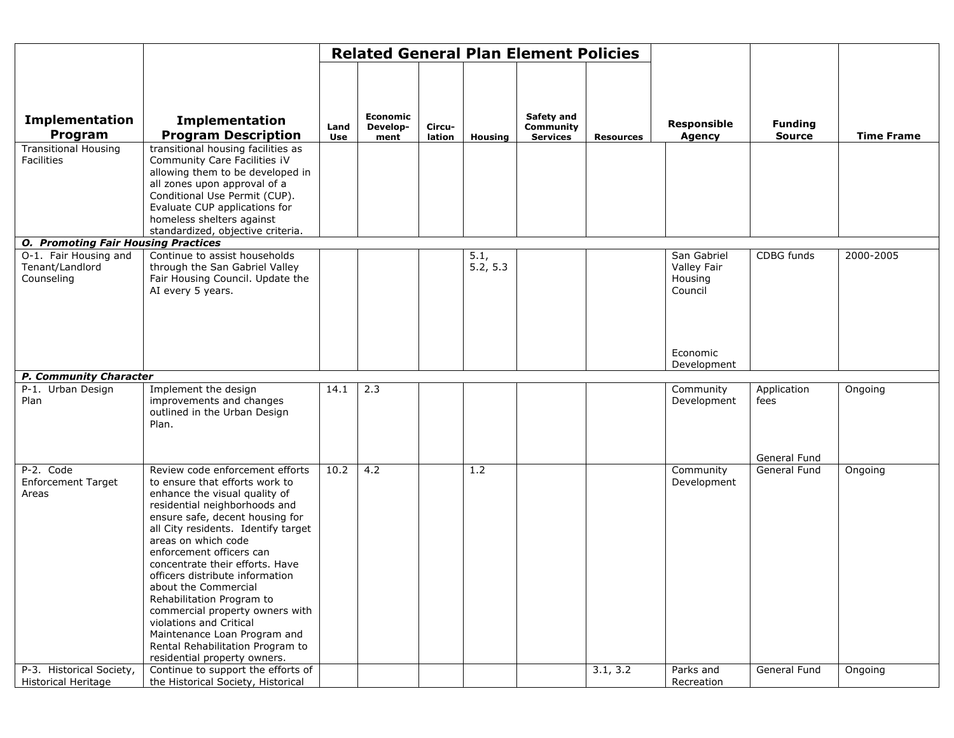|                                                                     |                                                                                                                                                                                                                                                                                                                                                                                                                                                                                                                                                               |             |                                     |                  |                | <b>Related General Plan Element Policies</b> |                  |                                     |                                     |                   |
|---------------------------------------------------------------------|---------------------------------------------------------------------------------------------------------------------------------------------------------------------------------------------------------------------------------------------------------------------------------------------------------------------------------------------------------------------------------------------------------------------------------------------------------------------------------------------------------------------------------------------------------------|-------------|-------------------------------------|------------------|----------------|----------------------------------------------|------------------|-------------------------------------|-------------------------------------|-------------------|
| <b>Implementation</b><br>Program<br><b>Transitional Housing</b>     | <b>Implementation</b><br><b>Program Description</b><br>transitional housing facilities as                                                                                                                                                                                                                                                                                                                                                                                                                                                                     | Land<br>Use | <b>Economic</b><br>Develop-<br>ment | Circu-<br>lation | <b>Housing</b> | Safety and<br>Community<br><b>Services</b>   | <b>Resources</b> | <b>Responsible</b><br><b>Agency</b> | <b>Funding</b><br><b>Source</b>     | <b>Time Frame</b> |
| Facilities                                                          | Community Care Facilities iV<br>allowing them to be developed in<br>all zones upon approval of a<br>Conditional Use Permit (CUP).<br>Evaluate CUP applications for<br>homeless shelters against<br>standardized, objective criteria.                                                                                                                                                                                                                                                                                                                          |             |                                     |                  |                |                                              |                  |                                     |                                     |                   |
| <b>O. Promoting Fair Housing Practices</b><br>O-1. Fair Housing and | Continue to assist households                                                                                                                                                                                                                                                                                                                                                                                                                                                                                                                                 |             |                                     |                  | 5.1,           |                                              |                  | San Gabriel                         | CDBG funds                          | 2000-2005         |
| Tenant/Landlord<br>Counseling                                       | through the San Gabriel Valley<br>Fair Housing Council. Update the<br>AI every 5 years.                                                                                                                                                                                                                                                                                                                                                                                                                                                                       |             |                                     |                  | 5.2, 5.3       |                                              |                  | Valley Fair<br>Housing<br>Council   |                                     |                   |
|                                                                     |                                                                                                                                                                                                                                                                                                                                                                                                                                                                                                                                                               |             |                                     |                  |                |                                              |                  | Economic<br>Development             |                                     |                   |
| P. Community Character                                              |                                                                                                                                                                                                                                                                                                                                                                                                                                                                                                                                                               |             |                                     |                  |                |                                              |                  |                                     |                                     |                   |
| P-1. Urban Design<br>Plan                                           | Implement the design<br>improvements and changes<br>outlined in the Urban Design<br>Plan.                                                                                                                                                                                                                                                                                                                                                                                                                                                                     | 14.1        | 2.3                                 |                  |                |                                              |                  | Community<br>Development            | Application<br>fees<br>General Fund | Ongoing           |
| P-2. Code<br><b>Enforcement Target</b><br>Areas                     | Review code enforcement efforts<br>to ensure that efforts work to<br>enhance the visual quality of<br>residential neighborhoods and<br>ensure safe, decent housing for<br>all City residents. Identify target<br>areas on which code<br>enforcement officers can<br>concentrate their efforts. Have<br>officers distribute information<br>about the Commercial<br>Rehabilitation Program to<br>commercial property owners with<br>violations and Critical<br>Maintenance Loan Program and<br>Rental Rehabilitation Program to<br>residential property owners. | 10.2        | 4.2                                 |                  | 1.2            |                                              |                  | Community<br>Development            | General Fund                        | Ongoing           |
| P-3. Historical Society,<br><b>Historical Heritage</b>              | Continue to support the efforts of<br>the Historical Society, Historical                                                                                                                                                                                                                                                                                                                                                                                                                                                                                      |             |                                     |                  |                |                                              | 3.1, 3.2         | Parks and<br>Recreation             | General Fund                        | Ongoing           |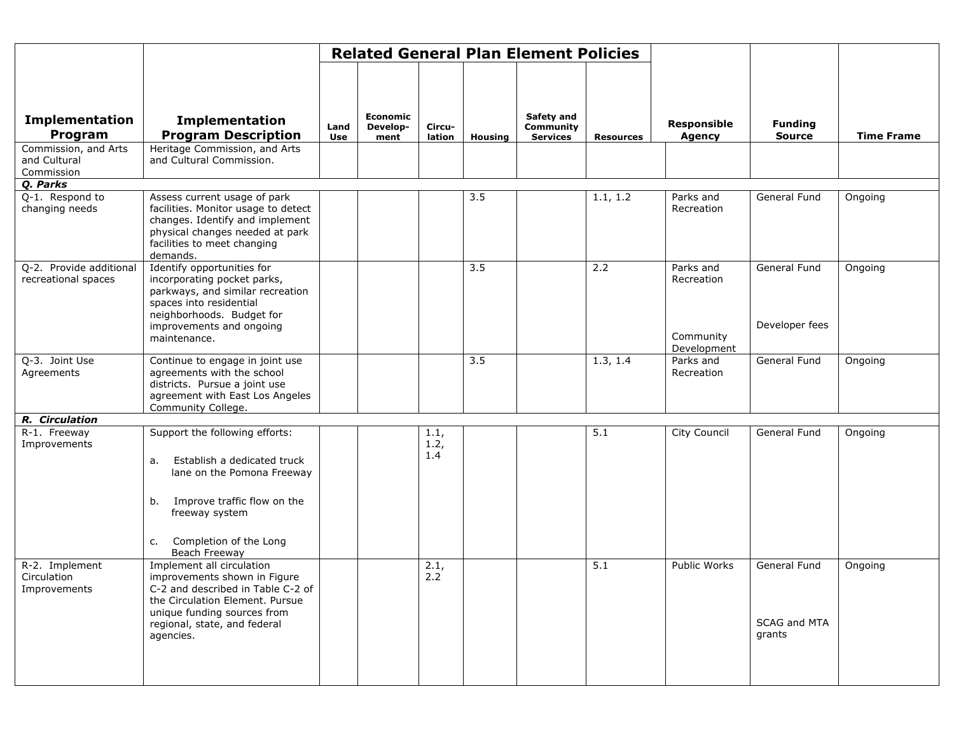|                                                    |                                                                                                                                                                                                               |             |                                     |                     |                | <b>Related General Plan Element Policies</b> |                  |                                                     |                                        |                   |
|----------------------------------------------------|---------------------------------------------------------------------------------------------------------------------------------------------------------------------------------------------------------------|-------------|-------------------------------------|---------------------|----------------|----------------------------------------------|------------------|-----------------------------------------------------|----------------------------------------|-------------------|
| <b>Implementation</b><br>Program                   | <b>Implementation</b><br><b>Program Description</b>                                                                                                                                                           | Land<br>Use | <b>Economic</b><br>Develop-<br>ment | Circu-<br>lation    | <b>Housing</b> | Safety and<br>Community<br><b>Services</b>   | <b>Resources</b> | <b>Responsible</b><br>Agency                        | <b>Funding</b><br><b>Source</b>        | <b>Time Frame</b> |
| Commission, and Arts<br>and Cultural<br>Commission | Heritage Commission, and Arts<br>and Cultural Commission.                                                                                                                                                     |             |                                     |                     |                |                                              |                  |                                                     |                                        |                   |
| Q. Parks<br>Q-1. Respond to<br>changing needs      | Assess current usage of park<br>facilities. Monitor usage to detect<br>changes. Identify and implement<br>physical changes needed at park<br>facilities to meet changing<br>demands.                          |             |                                     |                     | 3.5            |                                              | 1.1, 1.2         | Parks and<br>Recreation                             | General Fund                           | Ongoing           |
| Q-2. Provide additional<br>recreational spaces     | Identify opportunities for<br>incorporating pocket parks,<br>parkways, and similar recreation<br>spaces into residential<br>neighborhoods. Budget for<br>improvements and ongoing<br>maintenance.             |             |                                     |                     | 3.5            |                                              | 2.2              | Parks and<br>Recreation<br>Community<br>Development | General Fund<br>Developer fees         | Ongoing           |
| Q-3. Joint Use<br>Agreements                       | Continue to engage in joint use<br>agreements with the school<br>districts. Pursue a joint use<br>agreement with East Los Angeles<br>Community College.                                                       |             |                                     |                     | 3.5            |                                              | 1.3, 1.4         | Parks and<br>Recreation                             | General Fund                           | Ongoing           |
| R. Circulation                                     |                                                                                                                                                                                                               |             |                                     |                     |                |                                              |                  |                                                     |                                        |                   |
| R-1. Freeway<br>Improvements                       | Support the following efforts:<br>Establish a dedicated truck<br>a.<br>lane on the Pomona Freeway<br>Improve traffic flow on the<br>b.<br>freeway system<br>Completion of the Long<br>c.<br>Beach Freeway     |             |                                     | 1.1,<br>1.2,<br>1.4 |                |                                              | 5.1              | City Council                                        | General Fund                           | Ongoing           |
| R-2. Implement<br>Circulation<br>Improvements      | Implement all circulation<br>improvements shown in Figure<br>C-2 and described in Table C-2 of<br>the Circulation Element, Pursue<br>unique funding sources from<br>regional, state, and federal<br>agencies. |             |                                     | 2.1,<br>2.2         |                |                                              | 5.1              | Public Works                                        | General Fund<br>SCAG and MTA<br>grants | Ongoing           |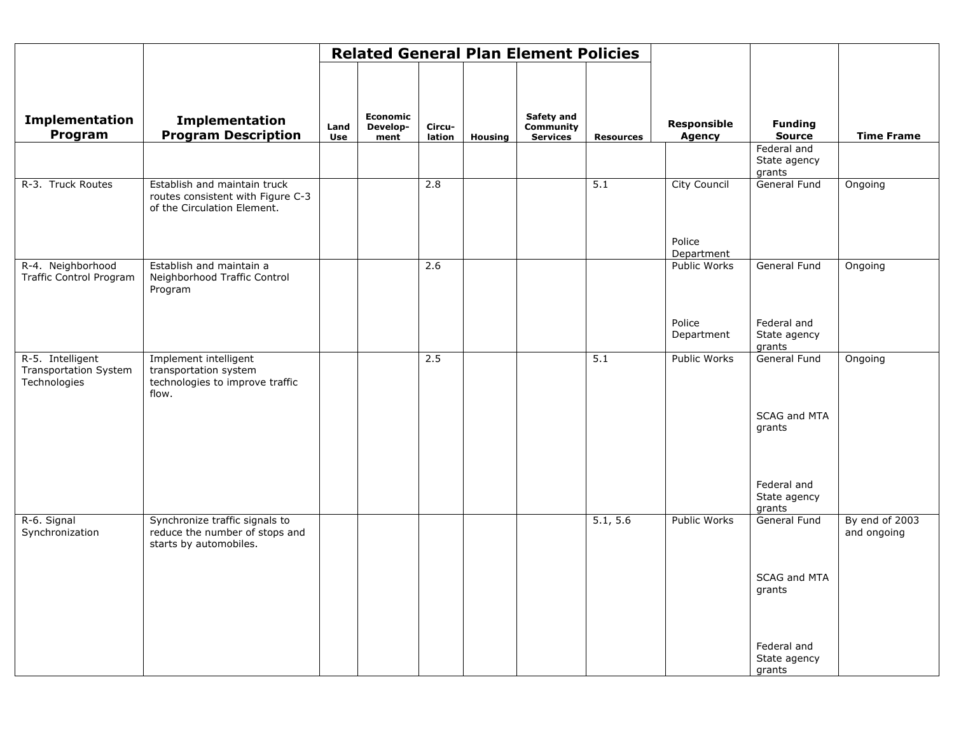|                                                           |                                                                                                  |             |                                     |                  |                | <b>Related General Plan Element Policies</b> |                  |                              |                                                |                               |
|-----------------------------------------------------------|--------------------------------------------------------------------------------------------------|-------------|-------------------------------------|------------------|----------------|----------------------------------------------|------------------|------------------------------|------------------------------------------------|-------------------------------|
| Implementation<br>Program                                 | Implementation<br><b>Program Description</b>                                                     | Land<br>Use | <b>Economic</b><br>Develop-<br>ment | Circu-<br>lation | <b>Housing</b> | Safety and<br>Community<br><b>Services</b>   | <b>Resources</b> | <b>Responsible</b><br>Agency | <b>Funding</b><br><b>Source</b><br>Federal and | <b>Time Frame</b>             |
|                                                           |                                                                                                  |             |                                     |                  |                |                                              |                  |                              | State agency<br>grants                         |                               |
| R-3. Truck Routes                                         | Establish and maintain truck<br>routes consistent with Figure C-3<br>of the Circulation Element. |             |                                     | 2.8              |                |                                              | $\overline{5.1}$ | City Council                 | General Fund                                   | Ongoing                       |
|                                                           |                                                                                                  |             |                                     |                  |                |                                              |                  | Police<br>Department         |                                                |                               |
| R-4. Neighborhood<br>Traffic Control Program              | Establish and maintain a<br>Neighborhood Traffic Control<br>Program                              |             |                                     | 2.6              |                |                                              |                  | Public Works                 | General Fund                                   | Ongoing                       |
|                                                           |                                                                                                  |             |                                     |                  |                |                                              |                  | Police<br>Department         | Federal and<br>State agency<br>grants          |                               |
| R-5. Intelligent<br>Transportation System<br>Technologies | Implement intelligent<br>transportation system<br>technologies to improve traffic<br>flow.       |             |                                     | 2.5              |                |                                              | $\overline{5.1}$ | Public Works                 | General Fund                                   | Ongoing                       |
|                                                           |                                                                                                  |             |                                     |                  |                |                                              |                  |                              | SCAG and MTA<br>grants                         |                               |
|                                                           |                                                                                                  |             |                                     |                  |                |                                              |                  |                              | Federal and<br>State agency<br>grants          |                               |
| R-6. Signal<br>Synchronization                            | Synchronize traffic signals to<br>reduce the number of stops and<br>starts by automobiles.       |             |                                     |                  |                |                                              | 5.1, 5.6         | Public Works                 | General Fund                                   | By end of 2003<br>and ongoing |
|                                                           |                                                                                                  |             |                                     |                  |                |                                              |                  |                              | SCAG and MTA<br>grants                         |                               |
|                                                           |                                                                                                  |             |                                     |                  |                |                                              |                  |                              | Federal and<br>State agency<br>grants          |                               |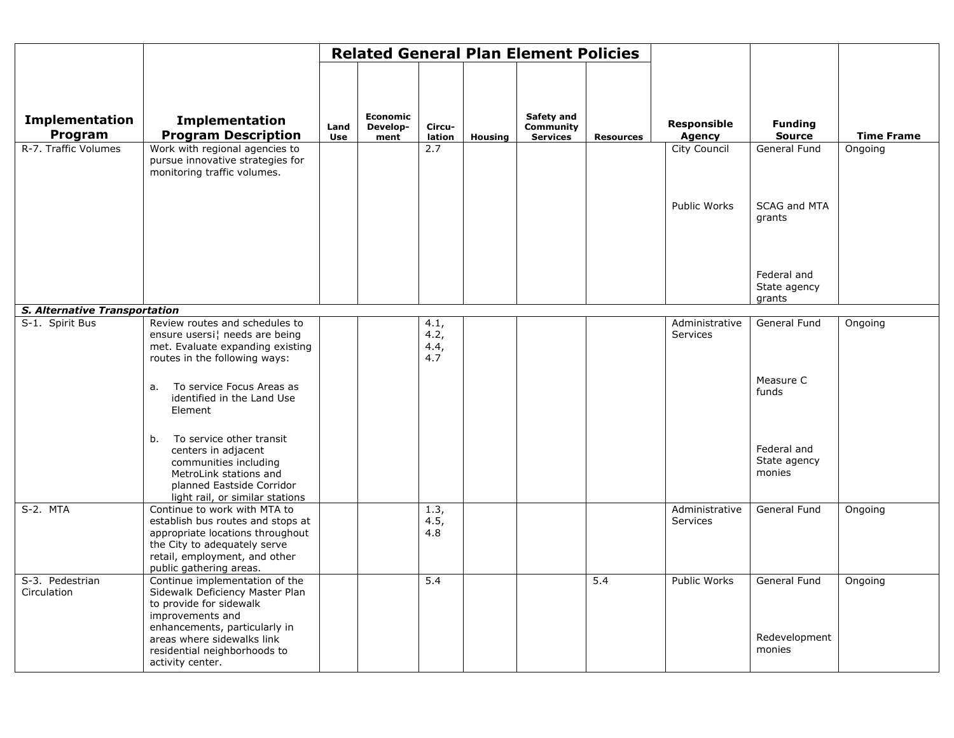|                                                         |                                                                                                                                                                                                                                     |                    |                              |                                 |                | <b>Related General Plan Element Policies</b> |                  |                              |                                         |                   |
|---------------------------------------------------------|-------------------------------------------------------------------------------------------------------------------------------------------------------------------------------------------------------------------------------------|--------------------|------------------------------|---------------------------------|----------------|----------------------------------------------|------------------|------------------------------|-----------------------------------------|-------------------|
| Implementation<br>Program                               | <b>Implementation</b><br><b>Program Description</b>                                                                                                                                                                                 | Land<br><b>Use</b> | Economic<br>Develop-<br>ment | Circu-<br>lation                | <b>Housing</b> | Safety and<br>Community<br><b>Services</b>   | <b>Resources</b> | <b>Responsible</b><br>Agency | <b>Funding</b><br><b>Source</b>         | <b>Time Frame</b> |
| R-7. Traffic Volumes                                    | Work with regional agencies to<br>pursue innovative strategies for<br>monitoring traffic volumes.                                                                                                                                   |                    |                              | 2.7                             |                |                                              |                  | <b>City Council</b>          | General Fund                            | Ongoing           |
|                                                         |                                                                                                                                                                                                                                     |                    |                              |                                 |                |                                              |                  | Public Works                 | <b>SCAG and MTA</b><br>grants           |                   |
|                                                         |                                                                                                                                                                                                                                     |                    |                              |                                 |                |                                              |                  |                              | Federal and<br>State agency<br>grants   |                   |
| <b>S. Alternative Transportation</b><br>S-1. Spirit Bus | Review routes and schedules to                                                                                                                                                                                                      |                    |                              |                                 |                |                                              |                  |                              |                                         |                   |
|                                                         | ensure usersi¦ needs are being<br>met. Evaluate expanding existing<br>routes in the following ways:                                                                                                                                 |                    |                              | 4.1,<br>4.2,<br>4.4,<br>4.7     |                |                                              |                  | Administrative<br>Services   | General Fund                            | Ongoing           |
|                                                         | To service Focus Areas as<br>a.<br>identified in the Land Use<br>Element                                                                                                                                                            |                    |                              |                                 |                |                                              |                  |                              | Measure C<br>funds                      |                   |
|                                                         | To service other transit<br>b.<br>centers in adjacent<br>communities including<br>MetroLink stations and<br>planned Eastside Corridor<br>light rail, or similar stations                                                            |                    |                              |                                 |                |                                              |                  |                              | Federal and<br>State agency<br>monies   |                   |
| S-2. MTA                                                | Continue to work with MTA to<br>establish bus routes and stops at<br>appropriate locations throughout<br>the City to adequately serve<br>retail, employment, and other<br>public gathering areas.                                   |                    |                              | $\overline{1.3}$<br>4.5,<br>4.8 |                |                                              |                  | Administrative<br>Services   | General Fund                            | Ongoing           |
| S-3. Pedestrian<br>Circulation                          | Continue implementation of the<br>Sidewalk Deficiency Master Plan<br>to provide for sidewalk<br>improvements and<br>enhancements, particularly in<br>areas where sidewalks link<br>residential neighborhoods to<br>activity center. |                    |                              | 5.4                             |                |                                              | 5.4              | Public Works                 | General Fund<br>Redevelopment<br>monies | Ongoing           |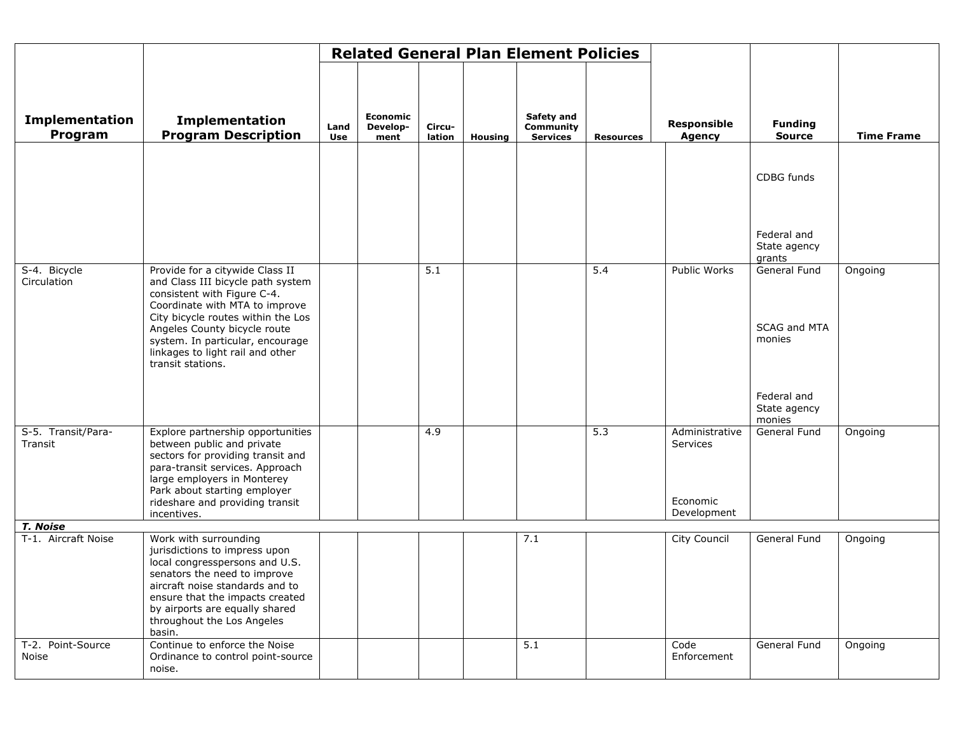|                                        |                                                                                                                                                                                                                                                                                                          |             |                              |                  |                | <b>Related General Plan Element Policies</b> |                  |                                                       |                                                                                                           |                   |
|----------------------------------------|----------------------------------------------------------------------------------------------------------------------------------------------------------------------------------------------------------------------------------------------------------------------------------------------------------|-------------|------------------------------|------------------|----------------|----------------------------------------------|------------------|-------------------------------------------------------|-----------------------------------------------------------------------------------------------------------|-------------------|
| <b>Implementation</b><br>Program       | <b>Implementation</b><br><b>Program Description</b>                                                                                                                                                                                                                                                      | Land<br>Use | Economic<br>Develop-<br>ment | Circu-<br>lation | <b>Housing</b> | Safety and<br>Community<br><b>Services</b>   | <b>Resources</b> | <b>Responsible</b><br><b>Agency</b>                   | <b>Funding</b><br><b>Source</b>                                                                           | <b>Time Frame</b> |
|                                        |                                                                                                                                                                                                                                                                                                          |             |                              |                  |                |                                              |                  |                                                       | CDBG funds<br>Federal and                                                                                 |                   |
| S-4. Bicycle<br>Circulation            | Provide for a citywide Class II<br>and Class III bicycle path system<br>consistent with Figure C-4.<br>Coordinate with MTA to improve<br>City bicycle routes within the Los<br>Angeles County bicycle route<br>system. In particular, encourage<br>linkages to light rail and other<br>transit stations. |             |                              | 5.1              |                |                                              | $\overline{5.4}$ | <b>Public Works</b>                                   | State agency<br>grants<br>General Fund<br>SCAG and MTA<br>monies<br>Federal and<br>State agency<br>monies | Ongoing           |
| S-5. Transit/Para-<br>Transit          | Explore partnership opportunities<br>between public and private<br>sectors for providing transit and<br>para-transit services. Approach<br>large employers in Monterey<br>Park about starting employer<br>rideshare and providing transit<br>incentives.                                                 |             |                              | 4.9              |                |                                              | 5.3              | Administrative<br>Services<br>Economic<br>Development | General Fund                                                                                              | Ongoing           |
| <b>T. Noise</b><br>T-1. Aircraft Noise | Work with surrounding<br>jurisdictions to impress upon<br>local congresspersons and U.S.<br>senators the need to improve<br>aircraft noise standards and to<br>ensure that the impacts created<br>by airports are equally shared<br>throughout the Los Angeles<br>basin.                                 |             |                              |                  |                | 7.1                                          |                  | City Council                                          | General Fund                                                                                              | Ongoing           |
| T-2. Point-Source<br>Noise             | Continue to enforce the Noise<br>Ordinance to control point-source<br>noise.                                                                                                                                                                                                                             |             |                              |                  |                | 5.1                                          |                  | Code<br>Enforcement                                   | General Fund                                                                                              | Ongoing           |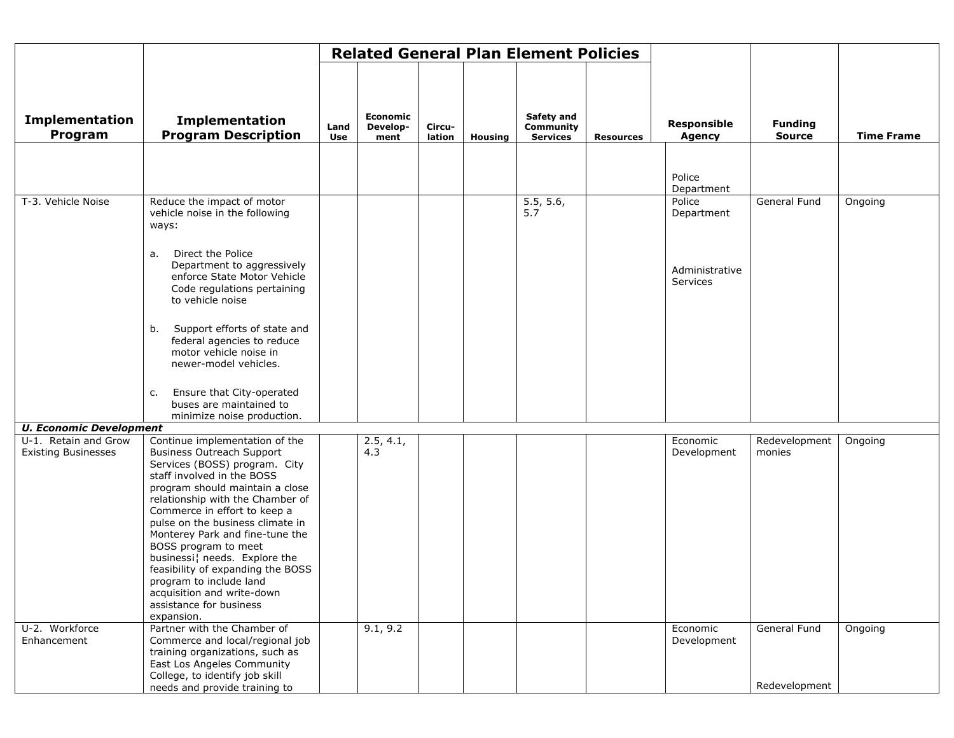|                                                                                      |                                                                                                                                                                                                                                                                                                                                                                                                                                                                                                                 |             |                                     |                  |                | <b>Related General Plan Element Policies</b> |                  |                                                           |                                 |                   |
|--------------------------------------------------------------------------------------|-----------------------------------------------------------------------------------------------------------------------------------------------------------------------------------------------------------------------------------------------------------------------------------------------------------------------------------------------------------------------------------------------------------------------------------------------------------------------------------------------------------------|-------------|-------------------------------------|------------------|----------------|----------------------------------------------|------------------|-----------------------------------------------------------|---------------------------------|-------------------|
| <b>Implementation</b><br>Program                                                     | <b>Implementation</b><br><b>Program Description</b>                                                                                                                                                                                                                                                                                                                                                                                                                                                             | Land<br>Use | <b>Economic</b><br>Develop-<br>ment | Circu-<br>lation | <b>Housing</b> | Safety and<br>Community<br><b>Services</b>   | <b>Resources</b> | <b>Responsible</b><br>Agency                              | <b>Funding</b><br><b>Source</b> | <b>Time Frame</b> |
|                                                                                      |                                                                                                                                                                                                                                                                                                                                                                                                                                                                                                                 |             |                                     |                  |                |                                              |                  | Police<br>Department                                      |                                 |                   |
| T-3. Vehicle Noise                                                                   | Reduce the impact of motor<br>vehicle noise in the following<br>ways:<br>Direct the Police<br>а.<br>Department to aggressively<br>enforce State Motor Vehicle<br>Code regulations pertaining<br>to vehicle noise<br>Support efforts of state and<br>b.<br>federal agencies to reduce<br>motor vehicle noise in<br>newer-model vehicles.<br>Ensure that City-operated<br>c.<br>buses are maintained to                                                                                                           |             |                                     |                  |                | 5.5, 5.6,<br>5.7                             |                  | Police<br>Department<br>Administrative<br><b>Services</b> | General Fund                    | Ongoing           |
|                                                                                      | minimize noise production.                                                                                                                                                                                                                                                                                                                                                                                                                                                                                      |             |                                     |                  |                |                                              |                  |                                                           |                                 |                   |
| <b>U. Economic Development</b><br>U-1. Retain and Grow<br><b>Existing Businesses</b> | Continue implementation of the<br><b>Business Outreach Support</b><br>Services (BOSS) program. City<br>staff involved in the BOSS<br>program should maintain a close<br>relationship with the Chamber of<br>Commerce in effort to keep a<br>pulse on the business climate in<br>Monterey Park and fine-tune the<br>BOSS program to meet<br>businessi¦ needs. Explore the<br>feasibility of expanding the BOSS<br>program to include land<br>acquisition and write-down<br>assistance for business<br>expansion. |             | 2.5, 4.1,<br>4.3                    |                  |                |                                              |                  | Economic<br>Development                                   | Redevelopment<br>monies         | Ongoing           |
| U-2. Workforce<br>Enhancement                                                        | Partner with the Chamber of<br>Commerce and local/regional job<br>training organizations, such as<br>East Los Angeles Community<br>College, to identify job skill<br>needs and provide training to                                                                                                                                                                                                                                                                                                              |             | 9.1, 9.2                            |                  |                |                                              |                  | Economic<br>Development                                   | General Fund<br>Redevelopment   | Ongoing           |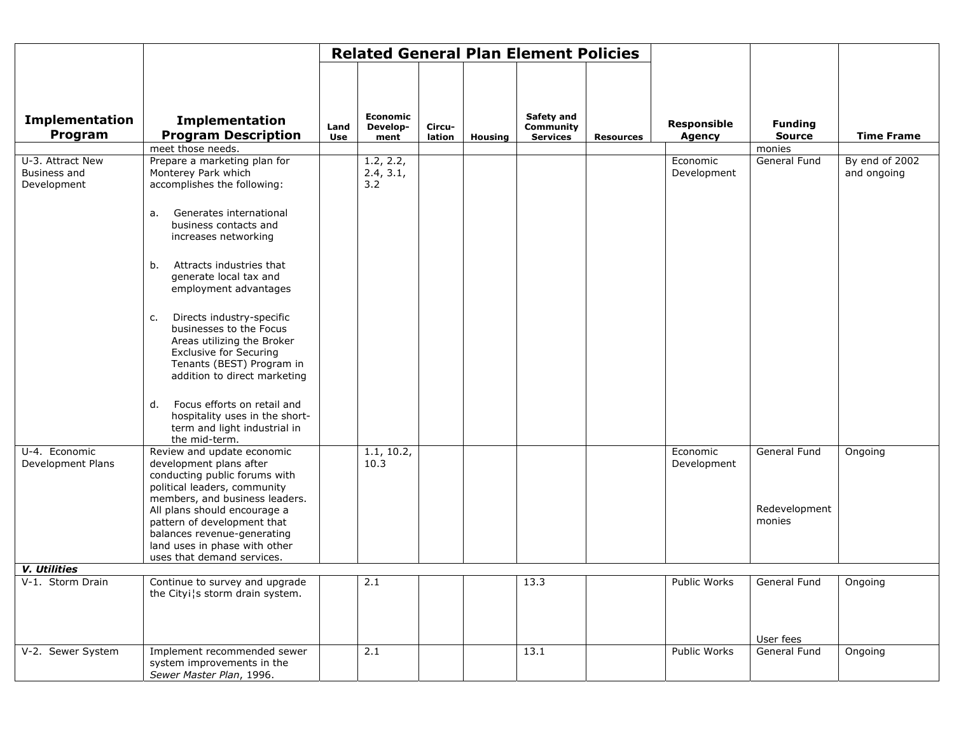|                                    |                                                                                                                                                                                                                                                                                                                       |             |                                     |                  |         | <b>Related General Plan Element Policies</b> |                  |                              |                                           |                   |
|------------------------------------|-----------------------------------------------------------------------------------------------------------------------------------------------------------------------------------------------------------------------------------------------------------------------------------------------------------------------|-------------|-------------------------------------|------------------|---------|----------------------------------------------|------------------|------------------------------|-------------------------------------------|-------------------|
| <b>Implementation</b><br>Program   | <b>Implementation</b><br><b>Program Description</b><br>meet those needs.                                                                                                                                                                                                                                              | Land<br>Use | <b>Economic</b><br>Develop-<br>ment | Circu-<br>lation | Housing | Safety and<br>Community<br><b>Services</b>   | <b>Resources</b> | <b>Responsible</b><br>Agency | <b>Funding</b><br><b>Source</b><br>monies | <b>Time Frame</b> |
| U-3. Attract New                   | Prepare a marketing plan for                                                                                                                                                                                                                                                                                          |             | 1.2, 2.2,                           |                  |         |                                              |                  | Economic                     | General Fund                              | By end of 2002    |
| Business and<br>Development        | Monterey Park which<br>accomplishes the following:<br>Generates international<br>a.                                                                                                                                                                                                                                   |             | 2.4, 3.1,<br>3.2                    |                  |         |                                              |                  | Development                  |                                           | and ongoing       |
|                                    | business contacts and<br>increases networking                                                                                                                                                                                                                                                                         |             |                                     |                  |         |                                              |                  |                              |                                           |                   |
|                                    | Attracts industries that<br>b.<br>generate local tax and<br>employment advantages                                                                                                                                                                                                                                     |             |                                     |                  |         |                                              |                  |                              |                                           |                   |
|                                    | Directs industry-specific<br>c.<br>businesses to the Focus<br>Areas utilizing the Broker<br><b>Exclusive for Securing</b><br>Tenants (BEST) Program in<br>addition to direct marketing                                                                                                                                |             |                                     |                  |         |                                              |                  |                              |                                           |                   |
|                                    | Focus efforts on retail and<br>d.<br>hospitality uses in the short-<br>term and light industrial in<br>the mid-term.                                                                                                                                                                                                  |             |                                     |                  |         |                                              |                  |                              |                                           |                   |
| U-4. Economic<br>Development Plans | Review and update economic<br>development plans after<br>conducting public forums with<br>political leaders, community<br>members, and business leaders.<br>All plans should encourage a<br>pattern of development that<br>balances revenue-generating<br>land uses in phase with other<br>uses that demand services. |             | 1.1, 10.2,<br>10.3                  |                  |         |                                              |                  | Economic<br>Development      | General Fund<br>Redevelopment<br>monies   | Ongoing           |
| <b>V. Utilities</b>                |                                                                                                                                                                                                                                                                                                                       |             |                                     |                  |         |                                              |                  |                              |                                           |                   |
| V-1. Storm Drain                   | Continue to survey and upgrade<br>the Cityi's storm drain system.                                                                                                                                                                                                                                                     |             | 2.1                                 |                  |         | 13.3                                         |                  | Public Works                 | General Fund<br>User fees                 | Ongoing           |
| V-2. Sewer System                  | Implement recommended sewer<br>system improvements in the<br>Sewer Master Plan, 1996.                                                                                                                                                                                                                                 |             | 2.1                                 |                  |         | 13.1                                         |                  | Public Works                 | General Fund                              | Ongoing           |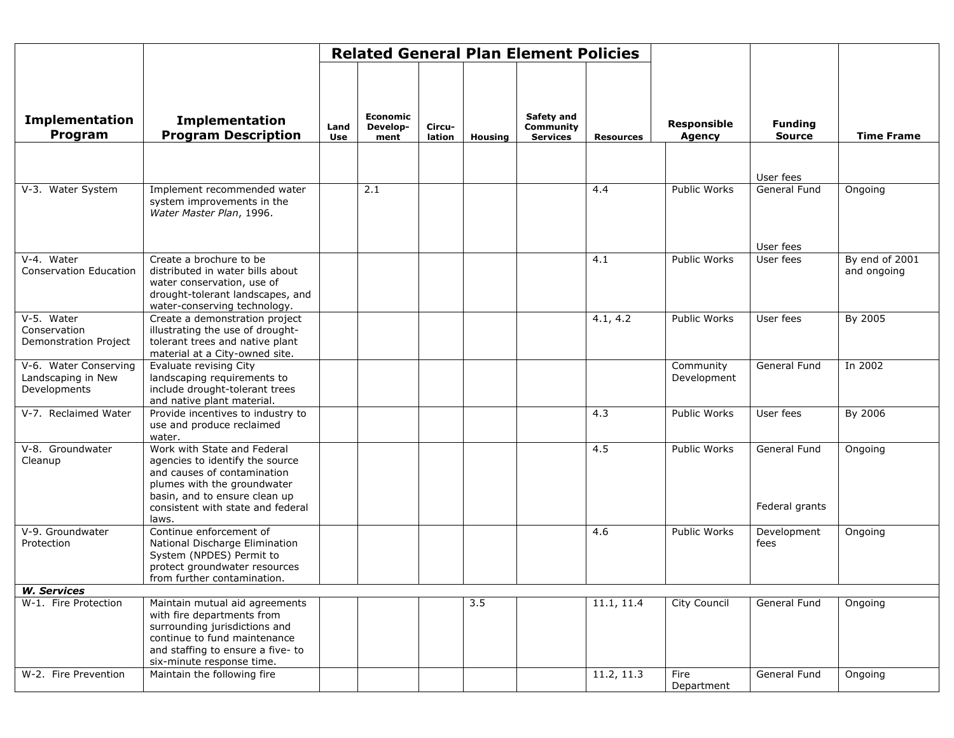|                                                             |                                                                                                                                                                                                    | <b>Related General Plan Element Policies</b> |                              |                  |                |                                            |                  |                              |                                 |                               |
|-------------------------------------------------------------|----------------------------------------------------------------------------------------------------------------------------------------------------------------------------------------------------|----------------------------------------------|------------------------------|------------------|----------------|--------------------------------------------|------------------|------------------------------|---------------------------------|-------------------------------|
| <b>Implementation</b><br>Program                            | <b>Implementation</b><br><b>Program Description</b>                                                                                                                                                | Land<br>Use                                  | Economic<br>Develop-<br>ment | Circu-<br>lation | <b>Housing</b> | Safety and<br>Community<br><b>Services</b> | <b>Resources</b> | <b>Responsible</b><br>Agency | <b>Funding</b><br><b>Source</b> | <b>Time Frame</b>             |
|                                                             |                                                                                                                                                                                                    |                                              |                              |                  |                |                                            |                  |                              | User fees                       |                               |
| V-3. Water System                                           | Implement recommended water<br>system improvements in the<br>Water Master Plan, 1996.                                                                                                              |                                              | 2.1                          |                  |                |                                            | 4.4              | Public Works                 | General Fund                    | Ongoing                       |
| V-4. Water<br><b>Conservation Education</b>                 | Create a brochure to be<br>distributed in water bills about<br>water conservation, use of<br>drought-tolerant landscapes, and<br>water-conserving technology.                                      |                                              |                              |                  |                |                                            | 4.1              | Public Works                 | User fees<br>User fees          | By end of 2001<br>and ongoing |
| $V-5. Water$<br>Conservation<br>Demonstration Project       | Create a demonstration project<br>illustrating the use of drought-<br>tolerant trees and native plant<br>material at a City-owned site.                                                            |                                              |                              |                  |                |                                            | 4.1, 4.2         | Public Works                 | User fees                       | By 2005                       |
| V-6. Water Conserving<br>Landscaping in New<br>Developments | Evaluate revising City<br>landscaping requirements to<br>include drought-tolerant trees<br>and native plant material.                                                                              |                                              |                              |                  |                |                                            |                  | Community<br>Development     | General Fund                    | In 2002                       |
| V-7. Reclaimed Water                                        | Provide incentives to industry to<br>use and produce reclaimed<br>water.                                                                                                                           |                                              |                              |                  |                |                                            | 4.3              | Public Works                 | User fees                       | By 2006                       |
| V-8. Groundwater<br>Cleanup                                 | Work with State and Federal<br>agencies to identify the source<br>and causes of contamination<br>plumes with the groundwater<br>basin, and to ensure clean up<br>consistent with state and federal |                                              |                              |                  |                |                                            | 4.5              | Public Works                 | General Fund<br>Federal grants  | Ongoing                       |
| V-9. Groundwater<br>Protection                              | laws.<br>Continue enforcement of<br>National Discharge Elimination<br>System (NPDES) Permit to<br>protect groundwater resources<br>from further contamination.                                     |                                              |                              |                  |                |                                            | 4.6              | Public Works                 | Development<br>fees             | Ongoing                       |
| <b>W. Services</b>                                          |                                                                                                                                                                                                    |                                              |                              |                  |                |                                            |                  |                              |                                 |                               |
| W-1. Fire Protection                                        | Maintain mutual aid agreements<br>with fire departments from<br>surrounding jurisdictions and<br>continue to fund maintenance<br>and staffing to ensure a five- to<br>six-minute response time.    |                                              |                              |                  | 3.5            |                                            | 11.1, 11.4       | City Council                 | General Fund                    | Ongoing                       |
| W-2. Fire Prevention                                        | Maintain the following fire                                                                                                                                                                        |                                              |                              |                  |                |                                            | 11.2, 11.3       | Fire<br>Department           | General Fund                    | Ongoing                       |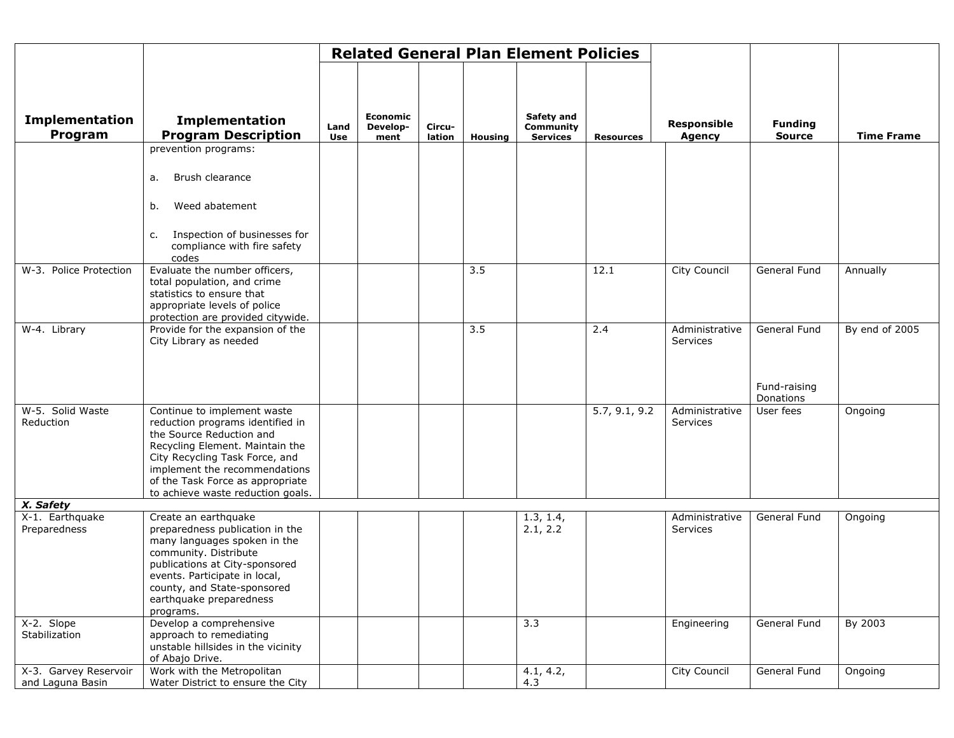|                                           |                                                                                                                                                                                                                                                                            | <b>Related General Plan Element Policies</b> |                              |                  |                  |                                            |                  |                                     |                                 |                   |
|-------------------------------------------|----------------------------------------------------------------------------------------------------------------------------------------------------------------------------------------------------------------------------------------------------------------------------|----------------------------------------------|------------------------------|------------------|------------------|--------------------------------------------|------------------|-------------------------------------|---------------------------------|-------------------|
| <b>Implementation</b><br>Program          | <b>Implementation</b><br><b>Program Description</b>                                                                                                                                                                                                                        | Land<br>Use                                  | Economic<br>Develop-<br>ment | Circu-<br>lation | <b>Housing</b>   | Safety and<br>Community<br><b>Services</b> | <b>Resources</b> | <b>Responsible</b><br><b>Agency</b> | <b>Funding</b><br><b>Source</b> | <b>Time Frame</b> |
|                                           | prevention programs:                                                                                                                                                                                                                                                       |                                              |                              |                  |                  |                                            |                  |                                     |                                 |                   |
|                                           | Brush clearance<br>a.                                                                                                                                                                                                                                                      |                                              |                              |                  |                  |                                            |                  |                                     |                                 |                   |
|                                           | Weed abatement<br>b.                                                                                                                                                                                                                                                       |                                              |                              |                  |                  |                                            |                  |                                     |                                 |                   |
|                                           | Inspection of businesses for<br>c.<br>compliance with fire safety<br>codes                                                                                                                                                                                                 |                                              |                              |                  |                  |                                            |                  |                                     |                                 |                   |
| W-3. Police Protection                    | Evaluate the number officers,<br>total population, and crime<br>statistics to ensure that<br>appropriate levels of police<br>protection are provided citywide.                                                                                                             |                                              |                              |                  | $\overline{3.5}$ |                                            | 12.1             | City Council                        | General Fund                    | Annually          |
| W-4. Library                              | Provide for the expansion of the<br>City Library as needed                                                                                                                                                                                                                 |                                              |                              |                  | 3.5              |                                            | 2.4              | Administrative<br>Services          | General Fund                    | By end of 2005    |
|                                           |                                                                                                                                                                                                                                                                            |                                              |                              |                  |                  |                                            |                  |                                     | Fund-raising<br>Donations       |                   |
| W-5. Solid Waste<br>Reduction             | Continue to implement waste<br>reduction programs identified in<br>the Source Reduction and<br>Recycling Element. Maintain the<br>City Recycling Task Force, and<br>implement the recommendations<br>of the Task Force as appropriate<br>to achieve waste reduction goals. |                                              |                              |                  |                  |                                            | 5.7, 9.1, 9.2    | Administrative<br>Services          | User fees                       | Ongoing           |
| X. Safety                                 |                                                                                                                                                                                                                                                                            |                                              |                              |                  |                  |                                            |                  |                                     |                                 |                   |
| X-1. Earthquake<br>Preparedness           | Create an earthquake<br>preparedness publication in the<br>many languages spoken in the<br>community. Distribute<br>publications at City-sponsored<br>events. Participate in local,<br>county, and State-sponsored<br>earthquake preparedness<br>programs.                 |                                              |                              |                  |                  | 1.3, 1.4,<br>2.1, 2.2                      |                  | Administrative<br>Services          | General Fund                    | Ongoing           |
| X-2. Slope<br>Stabilization               | Develop a comprehensive<br>approach to remediating<br>unstable hillsides in the vicinity<br>of Abajo Drive.                                                                                                                                                                |                                              |                              |                  |                  | 3.3                                        |                  | Engineering                         | General Fund                    | By 2003           |
| X-3. Garvey Reservoir<br>and Laguna Basin | Work with the Metropolitan<br>Water District to ensure the City                                                                                                                                                                                                            |                                              |                              |                  |                  | 4.1, 4.2,<br>4.3                           |                  | City Council                        | General Fund                    | Ongoing           |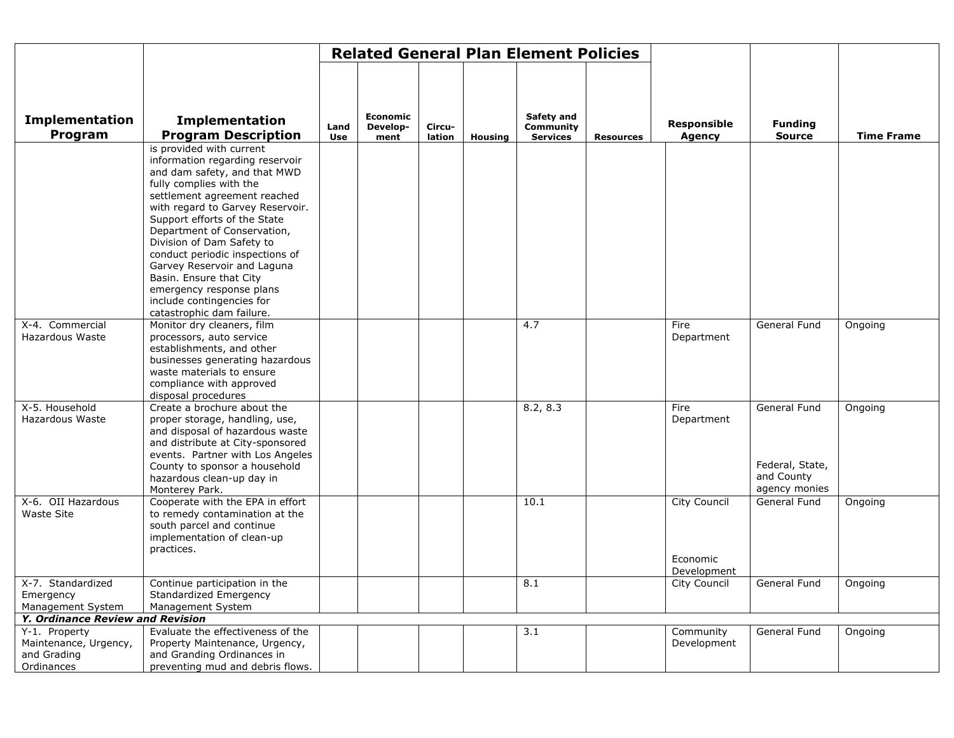|                                                                     |                                                                                                                                                                                                                                                                                                                                                                                                                                                                           |             |                              |                  |                | <b>Related General Plan Element Policies</b> |                  |                                         |                                                                |                   |
|---------------------------------------------------------------------|---------------------------------------------------------------------------------------------------------------------------------------------------------------------------------------------------------------------------------------------------------------------------------------------------------------------------------------------------------------------------------------------------------------------------------------------------------------------------|-------------|------------------------------|------------------|----------------|----------------------------------------------|------------------|-----------------------------------------|----------------------------------------------------------------|-------------------|
| <b>Implementation</b><br>Program                                    | <b>Implementation</b><br><b>Program Description</b>                                                                                                                                                                                                                                                                                                                                                                                                                       | Land<br>Use | Economic<br>Develop-<br>ment | Circu-<br>lation | <b>Housing</b> | Safety and<br>Community<br><b>Services</b>   | <b>Resources</b> | <b>Responsible</b><br>Agency            | <b>Funding</b><br><b>Source</b>                                | <b>Time Frame</b> |
|                                                                     | is provided with current<br>information regarding reservoir<br>and dam safety, and that MWD<br>fully complies with the<br>settlement agreement reached<br>with regard to Garvey Reservoir.<br>Support efforts of the State<br>Department of Conservation,<br>Division of Dam Safety to<br>conduct periodic inspections of<br>Garvey Reservoir and Laguna<br>Basin. Ensure that City<br>emergency response plans<br>include contingencies for<br>catastrophic dam failure. |             |                              |                  |                |                                              |                  |                                         |                                                                |                   |
| X-4. Commercial<br>Hazardous Waste                                  | Monitor dry cleaners, film<br>processors, auto service<br>establishments, and other<br>businesses generating hazardous<br>waste materials to ensure<br>compliance with approved<br>disposal procedures                                                                                                                                                                                                                                                                    |             |                              |                  |                | 4.7                                          |                  | Fire<br>Department                      | General Fund                                                   | Ongoing           |
| X-5. Household<br>Hazardous Waste                                   | Create a brochure about the<br>proper storage, handling, use,<br>and disposal of hazardous waste<br>and distribute at City-sponsored<br>events. Partner with Los Angeles<br>County to sponsor a household<br>hazardous clean-up day in<br>Monterey Park.                                                                                                                                                                                                                  |             |                              |                  |                | 8.2, 8.3                                     |                  | Fire<br>Department                      | General Fund<br>Federal, State,<br>and County<br>agency monies | Ongoing           |
| X-6. OII Hazardous<br><b>Waste Site</b>                             | Cooperate with the EPA in effort<br>to remedy contamination at the<br>south parcel and continue<br>implementation of clean-up<br>practices.                                                                                                                                                                                                                                                                                                                               |             |                              |                  |                | 10.1                                         |                  | City Council<br>Economic<br>Development | General Fund                                                   | Ongoing           |
| X-7. Standardized<br>Emergency<br>Management System                 | Continue participation in the<br>Standardized Emergency<br>Management System                                                                                                                                                                                                                                                                                                                                                                                              |             |                              |                  |                | 8.1                                          |                  | City Council                            | General Fund                                                   | Ongoing           |
| Y. Ordinance Review and Revision                                    |                                                                                                                                                                                                                                                                                                                                                                                                                                                                           |             |                              |                  |                |                                              |                  |                                         |                                                                |                   |
| Y-1. Property<br>Maintenance, Urgency,<br>and Grading<br>Ordinances | Evaluate the effectiveness of the<br>Property Maintenance, Urgency,<br>and Granding Ordinances in<br>preventing mud and debris flows.                                                                                                                                                                                                                                                                                                                                     |             |                              |                  |                | 3.1                                          |                  | Community<br>Development                | General Fund                                                   | Ongoing           |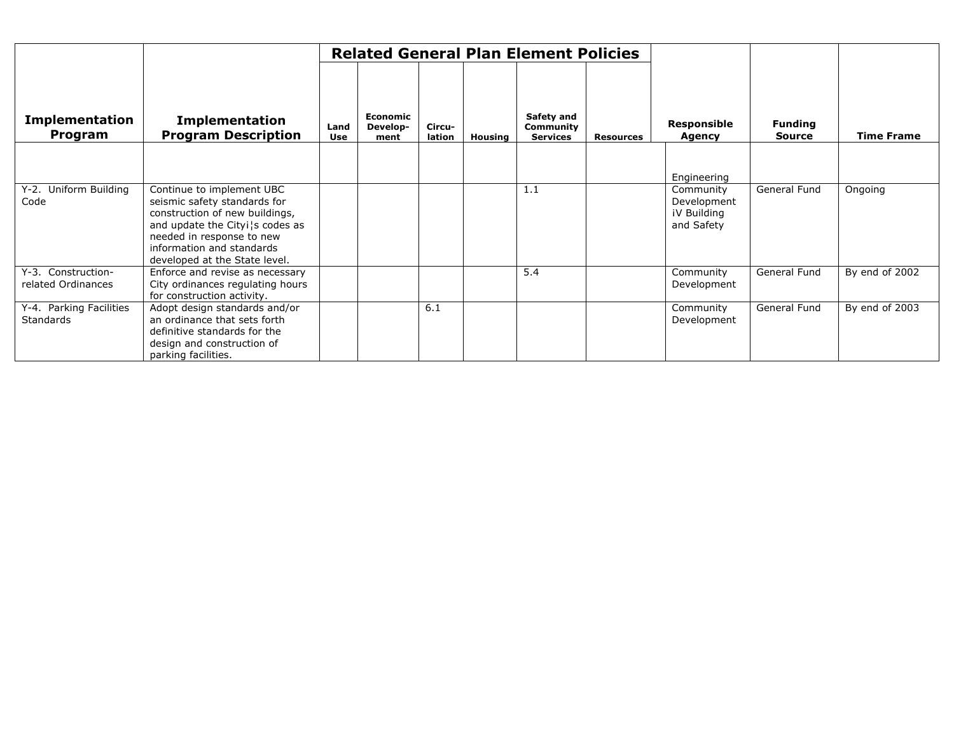|                                             |                                                                                                                                                                                                                           |                    |                              |                  |                | <b>Related General Plan Element Policies</b> |                  |                                                       |                                 |                   |
|---------------------------------------------|---------------------------------------------------------------------------------------------------------------------------------------------------------------------------------------------------------------------------|--------------------|------------------------------|------------------|----------------|----------------------------------------------|------------------|-------------------------------------------------------|---------------------------------|-------------------|
| <b>Implementation</b><br>Program            | Implementation<br><b>Program Description</b>                                                                                                                                                                              | Land<br><b>Use</b> | Economic<br>Develop-<br>ment | Circu-<br>lation | <b>Housing</b> | Safety and<br>Community<br><b>Services</b>   | <b>Resources</b> | Responsible<br>Agency                                 | <b>Funding</b><br><b>Source</b> | <b>Time Frame</b> |
|                                             |                                                                                                                                                                                                                           |                    |                              |                  |                |                                              |                  | Engineering                                           |                                 |                   |
| Y-2. Uniform Building<br>Code               | Continue to implement UBC<br>seismic safety standards for<br>construction of new buildings,<br>and update the Cityi's codes as<br>needed in response to new<br>information and standards<br>developed at the State level. |                    |                              |                  |                | 1.1                                          |                  | Community<br>Development<br>iV Building<br>and Safety | General Fund                    | Ongoing           |
| Y-3. Construction-<br>related Ordinances    | Enforce and revise as necessary<br>City ordinances regulating hours<br>for construction activity.                                                                                                                         |                    |                              |                  |                | 5.4                                          |                  | Community<br>Development                              | General Fund                    | By end of 2002    |
| Y-4. Parking Facilities<br><b>Standards</b> | Adopt design standards and/or<br>an ordinance that sets forth<br>definitive standards for the<br>design and construction of<br>parking facilities.                                                                        |                    |                              | 6.1              |                |                                              |                  | Community<br>Development                              | General Fund                    | By end of 2003    |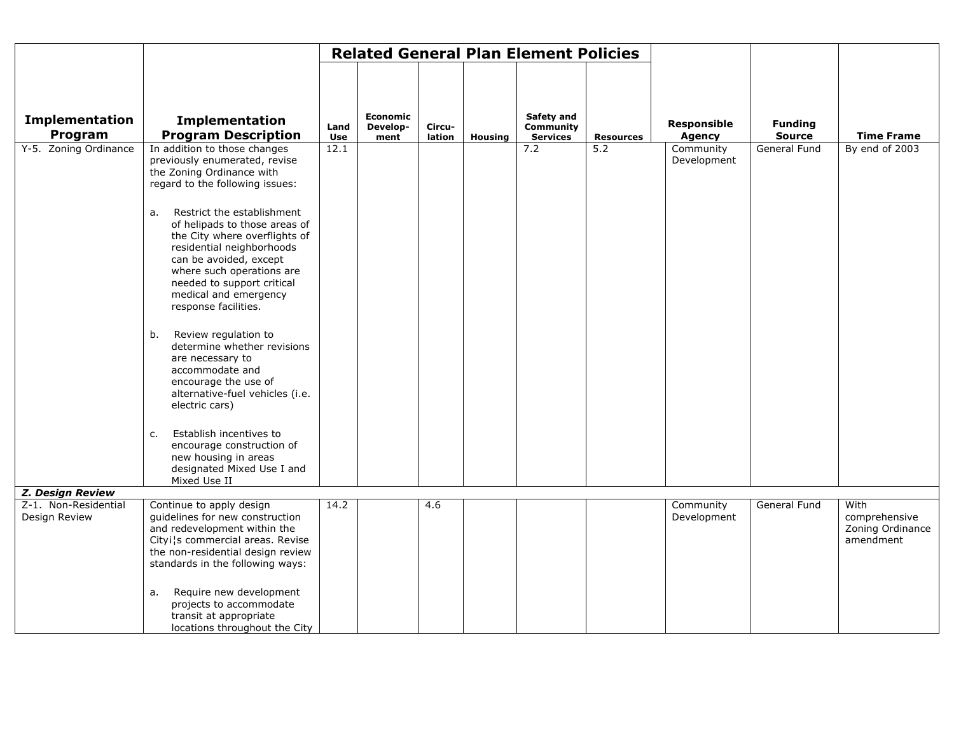|                                                  |                                                                                                                                                                                                                                                                                                                                                                                                                                                                                                                                                                                                                                                                                                                             |             |                                     |                  |                | <b>Related General Plan Element Policies</b> |                  |                                     |                                 |                                                        |
|--------------------------------------------------|-----------------------------------------------------------------------------------------------------------------------------------------------------------------------------------------------------------------------------------------------------------------------------------------------------------------------------------------------------------------------------------------------------------------------------------------------------------------------------------------------------------------------------------------------------------------------------------------------------------------------------------------------------------------------------------------------------------------------------|-------------|-------------------------------------|------------------|----------------|----------------------------------------------|------------------|-------------------------------------|---------------------------------|--------------------------------------------------------|
| <b>Implementation</b><br>Program                 | <b>Implementation</b><br><b>Program Description</b>                                                                                                                                                                                                                                                                                                                                                                                                                                                                                                                                                                                                                                                                         | Land<br>Use | <b>Economic</b><br>Develop-<br>ment | Circu-<br>lation | <b>Housing</b> | Safety and<br>Community<br><b>Services</b>   | <b>Resources</b> | <b>Responsible</b><br><b>Agency</b> | <b>Funding</b><br><b>Source</b> | <b>Time Frame</b>                                      |
| Y-5. Zoning Ordinance<br><b>Z. Design Review</b> | In addition to those changes<br>previously enumerated, revise<br>the Zoning Ordinance with<br>regard to the following issues:<br>Restrict the establishment<br>a.<br>of helipads to those areas of<br>the City where overflights of<br>residential neighborhoods<br>can be avoided, except<br>where such operations are<br>needed to support critical<br>medical and emergency<br>response facilities.<br>Review regulation to<br>b.<br>determine whether revisions<br>are necessary to<br>accommodate and<br>encourage the use of<br>alternative-fuel vehicles (i.e.<br>electric cars)<br>Establish incentives to<br>c.<br>encourage construction of<br>new housing in areas<br>designated Mixed Use I and<br>Mixed Use II | 12.1        |                                     |                  |                | 7.2                                          | 5.2              | Community<br>Development            | General Fund                    | By end of 2003                                         |
| Z-1. Non-Residential<br>Design Review            | Continue to apply design<br>guidelines for new construction<br>and redevelopment within the<br>Cityi¦s commercial areas. Revise<br>the non-residential design review<br>standards in the following ways:<br>Require new development<br>a.<br>projects to accommodate<br>transit at appropriate<br>locations throughout the City                                                                                                                                                                                                                                                                                                                                                                                             | 14.2        |                                     | 4.6              |                |                                              |                  | Community<br>Development            | General Fund                    | With<br>comprehensive<br>Zoning Ordinance<br>amendment |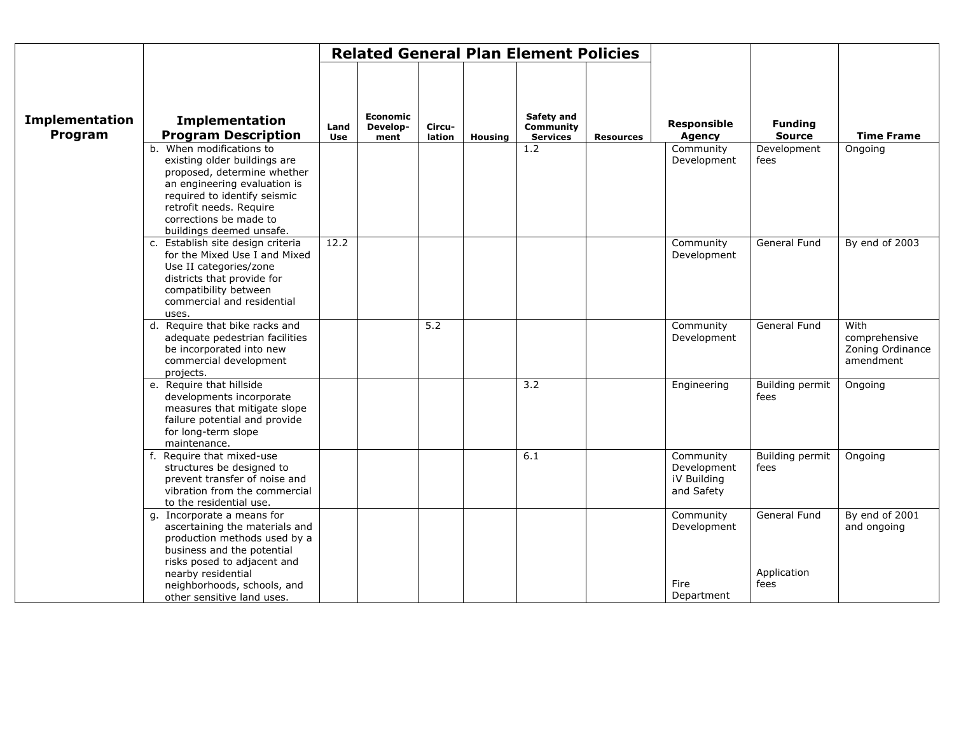|                                  |                                                                                                                                                                                                                                              |             |                                     |                  |                | <b>Related General Plan Element Policies</b> |                  |                                                       |                                     |                                                        |
|----------------------------------|----------------------------------------------------------------------------------------------------------------------------------------------------------------------------------------------------------------------------------------------|-------------|-------------------------------------|------------------|----------------|----------------------------------------------|------------------|-------------------------------------------------------|-------------------------------------|--------------------------------------------------------|
| <b>Implementation</b><br>Program | <b>Implementation</b><br><b>Program Description</b>                                                                                                                                                                                          | Land<br>Use | <b>Economic</b><br>Develop-<br>ment | Circu-<br>lation | <b>Housing</b> | Safety and<br>Community<br><b>Services</b>   | <b>Resources</b> | <b>Responsible</b><br><b>Agency</b>                   | <b>Funding</b><br><b>Source</b>     | <b>Time Frame</b>                                      |
|                                  | b. When modifications to<br>existing older buildings are<br>proposed, determine whether<br>an engineering evaluation is<br>required to identify seismic<br>retrofit needs. Require<br>corrections be made to<br>buildings deemed unsafe.     |             |                                     |                  |                | 1.2                                          |                  | Community<br>Development                              | Development<br>fees                 | Ongoing                                                |
|                                  | c. Establish site design criteria<br>for the Mixed Use I and Mixed<br>Use II categories/zone<br>districts that provide for<br>compatibility between<br>commercial and residential<br>uses.                                                   | 12.2        |                                     |                  |                |                                              |                  | Community<br>Development                              | General Fund                        | By end of 2003                                         |
|                                  | d. Require that bike racks and<br>adequate pedestrian facilities<br>be incorporated into new<br>commercial development<br>projects.                                                                                                          |             |                                     | 5.2              |                |                                              |                  | Community<br>Development                              | General Fund                        | With<br>comprehensive<br>Zoning Ordinance<br>amendment |
|                                  | e. Require that hillside<br>developments incorporate<br>measures that mitigate slope<br>failure potential and provide<br>for long-term slope<br>maintenance.                                                                                 |             |                                     |                  |                | $\overline{3.2}$                             |                  | Engineering                                           | <b>Building permit</b><br>fees      | Ongoing                                                |
|                                  | f. Require that mixed-use<br>structures be designed to<br>prevent transfer of noise and<br>vibration from the commercial<br>to the residential use.                                                                                          |             |                                     |                  |                | 6.1                                          |                  | Community<br>Development<br>iV Building<br>and Safety | <b>Building permit</b><br>fees      | Ongoing                                                |
|                                  | g. Incorporate a means for<br>ascertaining the materials and<br>production methods used by a<br>business and the potential<br>risks posed to adjacent and<br>nearby residential<br>neighborhoods, schools, and<br>other sensitive land uses. |             |                                     |                  |                |                                              |                  | Community<br>Development<br>Fire<br>Department        | General Fund<br>Application<br>fees | By end of 2001<br>and ongoing                          |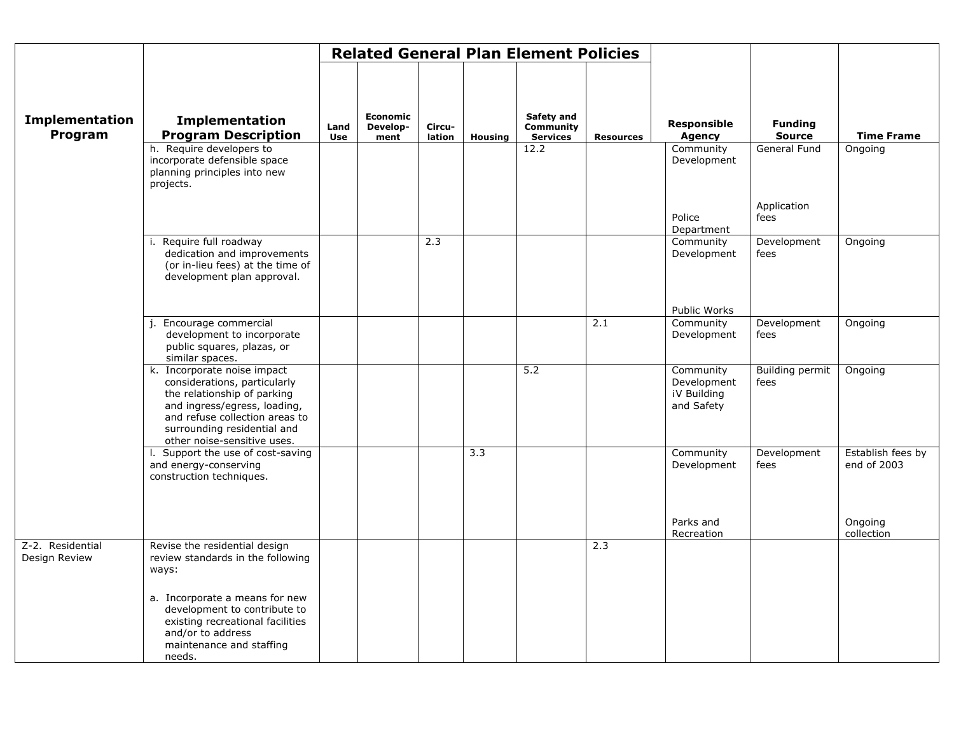|                                   |                                                                                                                                                                                                                                              |            |                             |        |                | <b>Related General Plan Element Policies</b> |                  |                                                       |                                     |                                             |
|-----------------------------------|----------------------------------------------------------------------------------------------------------------------------------------------------------------------------------------------------------------------------------------------|------------|-----------------------------|--------|----------------|----------------------------------------------|------------------|-------------------------------------------------------|-------------------------------------|---------------------------------------------|
| Implementation                    | <b>Implementation</b>                                                                                                                                                                                                                        | Land       | <b>Economic</b><br>Develop- | Circu- |                | Safety and<br>Community                      |                  | <b>Responsible</b>                                    | <b>Funding</b>                      |                                             |
| Program                           | <b>Program Description</b>                                                                                                                                                                                                                   | <b>Use</b> | ment                        | lation | <b>Housing</b> | <b>Services</b>                              | <b>Resources</b> | <b>Agency</b>                                         | <b>Source</b>                       | <b>Time Frame</b>                           |
|                                   | h. Require developers to<br>incorporate defensible space<br>planning principles into new<br>projects.                                                                                                                                        |            |                             |        |                | 12.2                                         |                  | Community<br>Development<br>Police<br>Department      | General Fund<br>Application<br>fees | Ongoing                                     |
|                                   | i. Require full roadway<br>dedication and improvements<br>(or in-lieu fees) at the time of<br>development plan approval.                                                                                                                     |            |                             | 2.3    |                |                                              |                  | Community<br>Development                              | Development<br>fees                 | Ongoing                                     |
|                                   |                                                                                                                                                                                                                                              |            |                             |        |                |                                              |                  | Public Works                                          |                                     |                                             |
|                                   | Encourage commercial<br>development to incorporate<br>public squares, plazas, or<br>similar spaces.                                                                                                                                          |            |                             |        |                |                                              | 2.1              | Community<br>Development                              | Development<br>fees                 | Ongoing                                     |
|                                   | k. Incorporate noise impact<br>considerations, particularly<br>the relationship of parking<br>and ingress/egress, loading,<br>and refuse collection areas to<br>surrounding residential and<br>other noise-sensitive uses.                   |            |                             |        |                | 5.2                                          |                  | Community<br>Development<br>iV Building<br>and Safety | <b>Building permit</b><br>fees      | Ongoing                                     |
|                                   | I. Support the use of cost-saving<br>and energy-conserving<br>construction techniques.                                                                                                                                                       |            |                             |        | 3.3            |                                              |                  | Community<br>Development<br>Parks and                 | Development<br>fees                 | Establish fees by<br>end of 2003<br>Ongoing |
|                                   |                                                                                                                                                                                                                                              |            |                             |        |                |                                              |                  | Recreation                                            |                                     | collection                                  |
| Z-2. Residential<br>Design Review | Revise the residential design<br>review standards in the following<br>ways:<br>a. Incorporate a means for new<br>development to contribute to<br>existing recreational facilities<br>and/or to address<br>maintenance and staffing<br>needs. |            |                             |        |                |                                              | 2.3              |                                                       |                                     |                                             |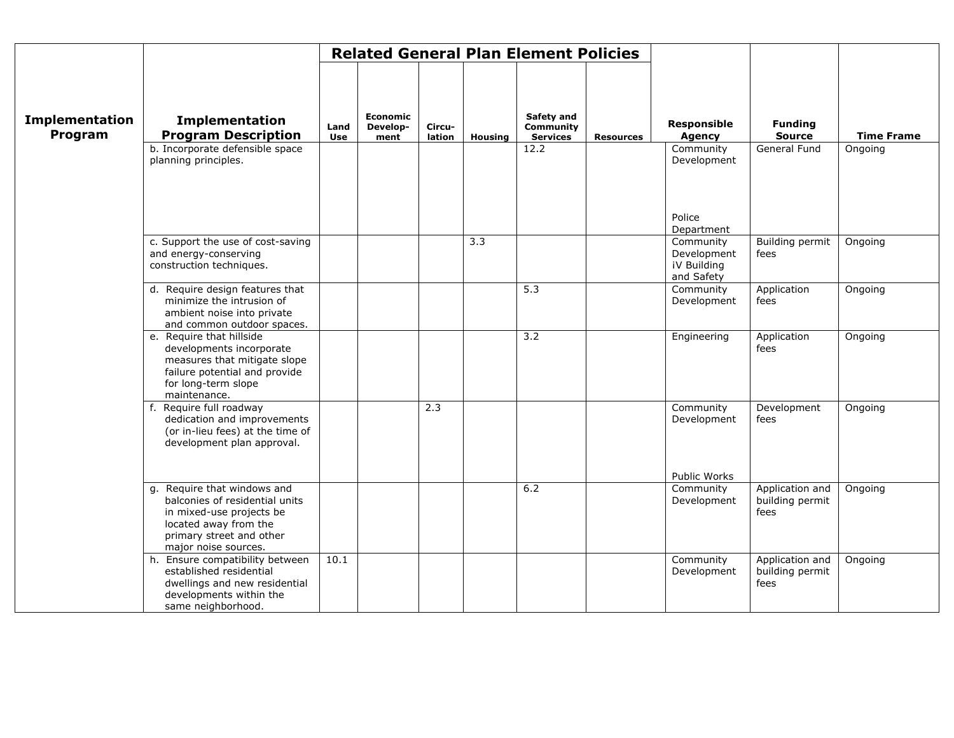|                                  |                                                                                                                                                                        |             |                                     |                  |                | <b>Related General Plan Element Policies</b> |                  |                                                       |                                            |                   |
|----------------------------------|------------------------------------------------------------------------------------------------------------------------------------------------------------------------|-------------|-------------------------------------|------------------|----------------|----------------------------------------------|------------------|-------------------------------------------------------|--------------------------------------------|-------------------|
| <b>Implementation</b><br>Program | <b>Implementation</b><br><b>Program Description</b>                                                                                                                    | Land<br>Use | <b>Economic</b><br>Develop-<br>ment | Circu-<br>lation | <b>Housing</b> | Safety and<br>Community<br><b>Services</b>   | <b>Resources</b> | <b>Responsible</b><br>Agency                          | <b>Funding</b><br><b>Source</b>            | <b>Time Frame</b> |
|                                  | b. Incorporate defensible space<br>planning principles.                                                                                                                |             |                                     |                  |                | 12.2                                         |                  | Community<br>Development                              | General Fund                               | Ongoing           |
|                                  |                                                                                                                                                                        |             |                                     |                  |                |                                              |                  | Police<br>Department                                  |                                            |                   |
|                                  | c. Support the use of cost-saving<br>and energy-conserving<br>construction techniques.                                                                                 |             |                                     |                  | 3.3            |                                              |                  | Community<br>Development<br>iV Building<br>and Safety | Building permit<br>fees                    | Ongoing           |
|                                  | d. Require design features that<br>minimize the intrusion of<br>ambient noise into private<br>and common outdoor spaces.                                               |             |                                     |                  |                | 5.3                                          |                  | Community<br>Development                              | Application<br>fees                        | Ongoing           |
|                                  | e. Require that hillside<br>developments incorporate<br>measures that mitigate slope<br>failure potential and provide<br>for long-term slope<br>maintenance.           |             |                                     |                  |                | $\overline{3.2}$                             |                  | Engineering                                           | Application<br>fees                        | Ongoing           |
|                                  | f. Require full roadway<br>dedication and improvements<br>(or in-lieu fees) at the time of<br>development plan approval.                                               |             |                                     | 2.3              |                |                                              |                  | Community<br>Development<br>Public Works              | Development<br>fees                        | Ongoing           |
|                                  | g. Require that windows and<br>balconies of residential units<br>in mixed-use projects be<br>located away from the<br>primary street and other<br>major noise sources. |             |                                     |                  |                | 6.2                                          |                  | Community<br>Development                              | Application and<br>building permit<br>fees | Ongoing           |
|                                  | h. Ensure compatibility between<br>established residential<br>dwellings and new residential<br>developments within the<br>same neighborhood.                           | 10.1        |                                     |                  |                |                                              |                  | Community<br>Development                              | Application and<br>building permit<br>fees | Ongoing           |